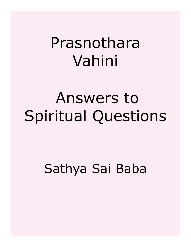# Prasnothara Vahini

# Answers to Spiritual Questions

## Sathya Sai Baba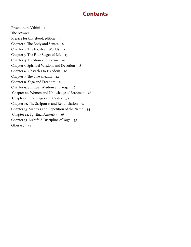## **Contents**

[Prasnothara Vahini 5](#page-4-0) [The Answer 6](#page-5-0) [Preface for this ebook edition 7](#page-6-0) [Chapter 1. The Body and Senses 8](#page-7-0) [Chapter 2. The Fourteen Worlds 11](#page-10-0) [Chapter 3. The Four Stages of Life 13](#page-12-0) [Chapter 4. Freedom and Karma 16](#page-15-0) [Chapter 5. Spiritual Wisdom and Devotion 18](#page-17-0) [Chapter 6. Obstacles to Freedom 20](#page-19-0) [Chapter 7. The Five Sheaths 22](#page-21-0) [Chapter 8. Yoga and Freedom 24](#page-23-0) [Chapter 9. Spiritual Wisdom and Yoga 26](#page-25-0)  [Chapter 10. Women and Knowledge of Brahman 28](#page-27-0)  [Chapter 11. Life Stages and Castes 30](#page-29-0) [Chapter 12. The Scriptures and Renunciation 32](#page-31-0) [Chapter 13. Mantras and Repetition of the Name 34](#page-33-0)  [Chapter 14. Spiritual Austerity 36](#page-35-0) [Chapter 15. Eightfold Discipline of Yoga 39](#page-38-0) [Glossary 42](#page-41-0)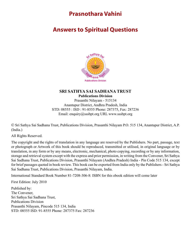## **Prasnothara Vahini**

## <span id="page-4-0"></span>**Answers to Spiritual Questions**



#### **SRI SATHYA SAI SADHANA TRUST Publications Division**

Prasanthi Nilayam - 515134 Anantapur District, Andhra Pradesh, India STD: 08555 : ISD : 91-8555 Phone: 287375, Fax: 287236 Email: enquiry@sssbpt.org URL www.sssbpt.org

© Sri Sathya Sai Sadhana Trust, Publications Division, Prasanthi Nilayam P.O. 515 134, Anantapur District, A.P. (India.)

All Rights Reserved.

The copyright and the rights of translation in any language are reserved by the Publishers. No part, passage, text or photograph or Artwork of this book should be reproduced, transmitted or utilised, in original language or by translation, in any form or by any means, electronic, mechanical, photo copying, recording or by any information, storage and retrieval system except with the express and prior permission, in writing from the Convener, Sri Sathya Sai Sadhana Trust, Publications Division, Prasanthi Nilayam (Andhra Pradesh) India - Pin Code 515 134, except for brief passages quoted in book review. This book can be exported from India only by the Publishers - Sri Sathya Sai Sadhana Trust, Publications Division, Prasanthi Nilayam, India.

International Standard Book Number 81-7208-306-8: ISBN for this ebook edition will come later

First Edition: July 2010

Published by: The Convener, Sri Sathya Sai Sadhana Trust, Publications Division Prasanthi Nilayam, Pincode 515 134, India STD: 08555 ISD: 91-8555 Phone: 287375 Fax: 287236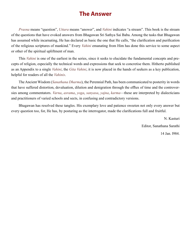## **The Answer**

<span id="page-5-0"></span>*Prasna* means "question", *Uttara* means "answer", and *Vahini* indicates "a stream". This book is the stream of the questions that have evoked answers from Bhagawan Sri Sathya Sai Baba. Among the tasks that Bhagawan has assumed while incarnating, He has declared as basic the one that He calls, "the clarification and purification of the religious scriptures of mankind." Every *Vahini* emanating from Him has done this service to some aspect or other of the spiritual upliftment of man.

This *Vahini* is one of the earliest in the series, since it seeks to elucidate the fundamental concepts and precepts of religion, especially the technical words and expressions that seek to concretise them. Hitherto published as an Appendix to a single *Vahini*, the *Gita Vahini*, it is now placed in the hands of seekers as a key publication, helpful for readers of all the *Vahinis*.

The Ancient Wisdom (*[Sanathana Dharma](#page-51-0)*), the Perennial Path, has been communicated to posterity in words that have suffered distortion, devaluation, dilution and denigration through the efflux of time and the controversies among commentators. *[Varna](#page-54-0)*, *[asrama](#page-42-0)*, *[yoga](#page-55-0)*, *[sanyasa](#page-51-1)*, *[yajna](#page-55-1)*, *[karma](#page-46-0)*—these are interpreted by dialecticians and practitioners of varied schools and sects, in confusing and contradictory versions.

Bhagawan has resolved these tangles. His exemplary love and patience sweeten not only every answer but every question too, for, He has, by posturing as the interrogator, made the clarifications full and fruitful.

> N. Kasturi Editor, Sanathana Sarathi 14 Jan. l984.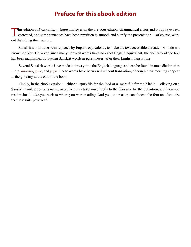## **Preface for this ebook edition**

<span id="page-6-0"></span>This edition of *Prasnothara Vahini* improves on the previous edition. Grammatical errors and typos have been corrected, and some sentences have been rewritten to smooth and clarify the presentation —of course, without disturbing the meaning.

Sanskrit words have been replaced by English equivalents, to make the text accessible to readers who do not know Sanskrit. However, since many Sanskrit words have no exact English equivalent, the accuracy of the text has been maintained by putting Sanskrit words in parentheses, after their English translations.

Several Sanskrit words have made their way into the English language and can be found in most dictionaries —e.g. *dharma*, *guru*, and *yoga*. These words have been used without translation, although their meanings appear in the glossary at the end of the book.

Finally, in the ebook version —either a .epub file for the Ipad or a .mobi file for the Kindle— clicking on a Sanskrit word, a person's name, or a place may take you directly to the Glossary for the definition; a link on you reader should take you back to where you were reading. And you, the reader, can choose the font and font size that best suits your need.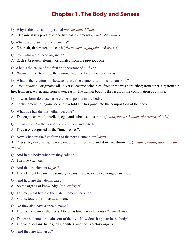## **Chapter 1. The Body and Senses**

- <span id="page-7-0"></span>Q. Why is this human body called *pancha-bhauthikam*?
- A. Because it is a product of the five basic elements (*[pancha-bhuuthas](#page-49-0)*).
- Q. What exactly are the five elements?
- A. Ether, air, fire, water, and earth (*[akasa](#page-41-1)***,** *[vayu](#page-54-1)***,** *[agni](#page-41-2)***,** *[jala](#page-46-1)*, and *[prithvi](#page-50-0)*).
- Q. From where did these originate?
- A. Each subsequent element originated from the previous one.
- Q. What is the cause of the first and therefore of all five?
- A. *[Brahman](#page-43-0)*, the Supreme, the Unmodified, the Fixed, the total Basis.
- Q. What is the relationship between these five elements and this human body?
- A. From *[Brahman](#page-43-0)* originated all universal cosmic principles; from these was born ether; from ether, air; from air, fire; from fire, water; and from water, earth. The human body is the result of the combination of all five.
- Q. In what form do these basic elements persist in the body?
- A. Each element has again become fivefold and has gone into the composition of the body.
- Q. What five has the first, ether, become?
- A. The cogniser, mind, intellect, ego, and subconscious mind (*[jnatha](#page-46-2)*, *[manas](#page-47-0)*, *[buddhi](#page-44-0)*, *[ahamkara](#page-41-3)*, *[chittha](#page-44-1)*).
- Q. Speaking of "in the body", how are these indicated?
- A. They are recognised as the "inner senses".
- Q. Now, what are the five forms of the next element, air (*[vayu](#page-54-1)*)?

A. Digestive, circulating, upward-moving, life breath, and downward-moving (*[samana](#page-51-2)*, *[vyana](#page-55-2)*, *[udana](#page-53-0)*, *[prana](#page-49-1)*, *[apana](#page-42-1)*).

- Q. And in the body, what are they called?
- A. The five vital airs.
- Q. And the fire element (*[agni](#page-41-2)*)?
- A. That element became the sensory organs: the ear, skin, eye, tongue, and nose.
- Q. And how are they demarcated?
- A. As the organs of knowledge (*[jnanendriyas](#page-46-3)*).
- Q. Tell me, what five did the water element become?
- A. Sound, touch, form, taste, and smell.
- Q. Do they also have a special name?
- A. They are known as the five subtle or rudimentary elements (*[thanmathras](#page-53-1)*).
- Q. The earth element remains out of the five. How does it appear in the body?
- A. The vocal organs, hands, legs, genitals, and the excretory organs.
- Q. And they are known as?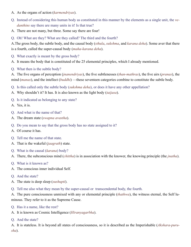- A. As the organs of action (*[karmendriyas](#page-46-4)*).
- Q. Instead of considering this human body as constituted in this manner by the elements as a single unit, the *[ve](#page-54-2)[danthins](#page-54-2)* say there are many units in it! Is that true?
- A. There are not many, but three. Some say there are four!
- Q. Oh! What are they? What are they called? The third and the fourth?

A.The gross body, the subtle body, and the causal body (*[sthula](#page-52-0)*, *[sukshma](#page-52-1)*, and *[karana](#page-46-5) [deha](#page-44-2)*). Some aver that there is a fourth, called the super-causal body (*[maha-karana](#page-47-1) [deha](#page-44-2)*).

Q. What exactly is meant by the gross body?

A. It means the body that is constituted of the 25 elemental principles, which I already mentioned.

Q. What then is the subtle body?

A. The five organs of perception (*[jnanendriyas](#page-46-3)*), the five subtlenesses (*[than-mathras](#page-53-1)*), the five airs (*[pranas](#page-49-1)*), the mind (*[manas](#page-47-0)*), and the intellect (*[buddhi](#page-44-0)*) —these seventeen categories combine to constitute the subtle body.

- Q. Is this called only the subtle body (*[sukshma](#page-52-1) [deha](#page-44-2)*), or does it have any other appellation?
- A. Why shouldn't it? It has. It is also known as the light body (*[taijasa](#page-53-2)*).
- Q. Is it indicated as belonging to any state?
- A. Yes, it is.
- Q. And what is the name of that?
- A. The dream state (*[swapna](#page-53-3) [avastha](#page-42-2)*).
- Q. Do you mean to say that the gross body has no state assigned to it?
- A. Of course it has.
- Q. Tell me the name of that state.
- A. That is the wakeful (*[jaagrath](#page-45-0)*) state.
- Q. What is the causal (*[karana](#page-46-5)*) body?
- A. There, the subconscious mind (*[chittha](#page-44-1)*) is in association with the knower, the knowing principle (the *[jnatha](#page-46-2)*).
- Q. What is it known as?
- A. The conscious inner individual Self.
- Q. And the state?
- A. The state is deep sleep (*[sushupti](#page-53-4)*).
- Q. Tell me also what they mean by the super-causal or transcendental body, the fourth.

A. The pure consciousness unmixed with any or elemental principle (*[thathwa](#page-53-5)*), the witness eternal, the Self luminous. They refer to it as the Supreme Cause.

- Q. Has it a name, like the rest?
- A. It is known as Cosmic Intelligence (*[Hiranyagarbha](#page-45-1)*).
- Q. And the state?

A. It is stateless. It is beyond all states of consciousness, so it is described as the Imperishable (*[Akshara](#page-41-4)[-puru](#page-50-1)[sha](#page-50-1)*).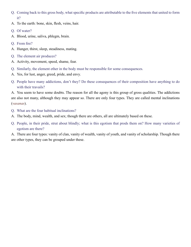- Q. Coming back to this gross body, what specific products are attributable to the five elements that united to form it?
- A. To the earth: bone, skin, flesh, veins, hair.
- Q. Of water?
- A. Blood, urine, saliva, phlegm, brain.
- Q. From fire?
- A. Hunger, thirst, sleep, steadiness, mating.
- Q. The element air produces?
- A. Activity, movement, speed, shame, fear.
- Q. Similarly, the element ether in the body must be responsible for some consequences.
- A. Yes, for lust, anger, greed, pride, and envy.
- Q. People have many addictions, don't they? Do these consequences of their composition have anything to do with their travails?

A. You seem to have some doubts. The reason for all the agony is this group of gross qualities. The addictions are also not many, although they may appear so. There are only four types. They are called mental inclinations (*[vasanas](#page-54-3)*).

- Q. What are the four habitual inclinations?
- A. The body, mind, wealth, and sex; though there are others, all are ultimately based on these.
- Q. People, in their pride, strut about blindly; what is this egotism that prods them on? How many varieties of egotism are there?

A. There are four types: vanity of clan, vanity of wealth, vanity of youth, and vanity of scholarship. Though there are other types, they can be grouped under these.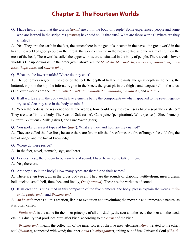## **Chapter 2. The Fourteen Worlds**

<span id="page-10-0"></span>Q. I have heard it said that the worlds (*[lokas](#page-47-2)*) are all in the body of people! Some experienced people and some who are learned in the scriptures (*[sastras](#page-51-3)*) have said so. Is that true? What are those worlds? Where are they situated?

A. Yes. They are: the earth in the feet, the atmosphere in the genitals, heaven in the navel, the great world in the heart, the world of good people in the throat, the world of virtue in the brow centre, and the realm of truth on the crest of the head, These worlds, called the upper worlds, are all situated in the body of people. There are also lower worlds. (The upper worlds, in the order given above, are the *[bhu-loka](#page-43-1)*, *[bhuvar-loka](#page-43-2)*, *[swar-loka](#page-53-6)*, *[mahar-loka](#page-47-3)*, *[jana](#page-46-6)[loka](#page-46-6)*, *[thapo-loka](#page-53-7)*, and *[sathya-loka](#page-52-2)*.)

Q. What are the lower worlds? Where do they exist?

A. The bottomless region in the soles of the feet, the depth of hell on the nails, the great depth in the heels, the bottomless pit in the hip, the infernal region in the knees, the great pit in the thighs, and deepest hell in the anus. (The lower worlds are the *[athala](#page-42-3)*, *[vithala](#page-55-3)*, *[suthala](#page-53-8)*, *[thalaathala](#page-53-9)*, *[rasathala](#page-50-2)*, *[mahathala](#page-48-0)*, and *[patala](#page-49-2)*.)

Q. If all worlds are in the body —the five elements being the components— what happened to the seven legendary seas? Are they also in the body or mind?

A. When the body is the residence for all the worlds, how could only the seven seas have a separate existence? They are also "in" the body. The Seas of Salt (urine), Cane-juice (perspiration), Wine (senses), Ghee (semen), Buttermilk (mucus), Milk (saliva), and Pure Water (tears).

Q. You spoke of several types of fire (*[agni](#page-41-2)*). What are they, and how are they named?

A. They are called the five fires, because there are five in all: the fire of time, the fire of hunger, the cold fire, the fire of anger, and the fire of knowledge.

- Q. Where do these reside?
- A. In the feet, navel, stomach, eye, and heart.
- Q. Besides these, there seem to be varieties of sound. I have heard some talk of them.
- A. Yes, there are.
- Q. Are they also in the body? How many types are there? And their names?

A. There are ten types, all in the gross body itself. They are the sounds of clapping, kettle-drum, insect, drum, bell, cuckoo, small bell, flute, bee, and finally, *[Om](#page-49-3)* (*[pranava](#page-49-4)*). These are the varieties of sound.

Q. If all creation is subsumed in this composite of the five elements, the body, please explain the words *[anda](#page-42-4)[anda](#page-42-4)*, *[pinda-anda](#page-49-5)*, and *[Brahma-anda](#page-43-3)*.

A. *[Anda-anda](#page-42-4)* means all this creation, liable to evolution and involution; the movable and immovable nature, as it is often called.

*[Pinda-anda](#page-49-5)* is the name for the inner principle of all this duality, the seer and the seen, the doer and the deed, etc. It is duality that produces birth after birth, according to the *[karma](#page-46-0)* of the birth.

*[Brahma-anda](#page-43-3)* means the collection of the inner forces of the five great elements: *[Atma](#page-42-5)*, related to the ether; soul (*[jivatma](#page-46-7)*), connected with wind; the inner *[Atma](#page-42-5)* (*[Prathyagatma](#page-49-6)*), arising out of fire; Universal Soul (*[Chaith-](#page-44-3)*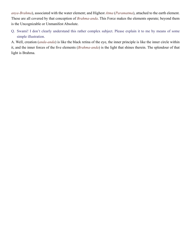*[anya-Brahma](#page-44-3)*), associated with the water element; and Highest *[Atma](#page-42-5)* (*[Paramatma](#page-49-7)*), attached to the earth element. These are all covered by that conception of *[Brahma-anda](#page-43-3)*. This Force makes the elements operate; beyond them is the Uncognizable or Unmanifest Absolute.

Q. Swami! I don't clearly understand this rather complex subject. Please explain it to me by means of some simple illustration.

A. Well, creation (*[anda-anda](#page-42-4)*) is like the black retina of the eye, the inner principle is like the inner circle within it, and the inner forces of the five elements (*[Brahma-anda](#page-43-3)*) is the light that shines therein. The splendour of that light is [Brahma](#page-43-4).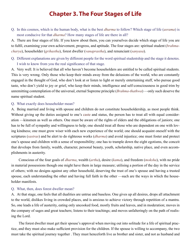## **Chapter 3. The Four Stages of Life**

<span id="page-12-0"></span>Q. In this cosmos, which is the human body, what is the best *[dharma](#page-44-4)* to follow? Which stage of life (*[asrama](#page-42-0)*) is most conducive for that *[dharma](#page-44-4)*? How many stages of life are there in all?

A. There are four stages of life. If you know about them, you can yourselves decide which stage of life you are to fulfil, examining your own achievement, progress, and aptitude. The four stages are: spiritual student (*[brahma](#page-43-5)[charya](#page-43-5)*), householder (*[grihastha](#page-45-2)*), forest dweller (*[vanaprastha](#page-54-4)*), and renunciant (*[sanyasa](#page-51-1)*).

Q. Different explanations are given by different people for the word spiritual studentship and the stage it denotes. I wish to know from you the real significance of that stage.

A. Very well. It is believed that all who haven't become householders are entitled to be called spiritual students. This is very wrong. Only those who keep their minds away from the delusions of the world, who are constantly engaged in the thought of God, who don't look at or listen to light or merely entertaining stuff, who pursue good taste, who don't yield to joy or grief, who keep their minds, intelligence and self-consciousness in good trim by unremitting contemplation of the universal, eternal Supreme principle (*[Brahma-thathwa](#page-43-6)*) —only such deserve the name spiritual student.

#### Q. What exactly does householder mean?

A. Being married and living with spouse and children do not constitute householdership, as most people think. Without giving up the duties assigned to one's [caste](#page-44-5) and status, the person has to treat all with equal consideration —kinsmen as well as others. One must be aware of the rights of elders and the obligations of juniors; one has to be full of sympathy and willingness to help; one should treat all those who are dependent on one with loving kindness; one must grow wiser with each new experience of the world; one should acquaint oneself with the scriptures (*[sastras](#page-51-3)*) and be alert to do righteous works (*[dharma](#page-44-4)*) and avoid injustice; one must foster and protect one's spouse and children with a sense of responsibility; one has to trample down the eight egotisms, the conceit that develops from family, wealth, character, personal beauty, youth, scholarship, native place, and even accomplishments in austerity.

Conscious of the four goals of *[dharma](#page-44-4)*, wealth (*[artha](#page-42-6)*), desire (*[kama](#page-46-8)*), and freedom (*[moksha](#page-48-1)*), with no pride in material possessions though one might have them in large measure; utilising a portion of the day in the service of others; with no designs against any other household, deserving the trust of one's spouse and having a trusted spouse, each understanding the other and having full faith in the other —such are the ways in which the householder manifests.

#### Q. What, then, does forest dweller mean?

A. At that stage, one feels that all dualities are untrue and baseless. One gives up all desires, drops all attachment to the world, dislikes living in crowded places, and is anxious to achieve victory through repetition of a mantra. So, one leads a life of austerity, eating only uncooked food, mostly fruits and leaves, and in moderation; moves in the company of sages and great teachers; listens to their teachings; and moves unfalteringly on the path of realising the Lord.

The forest dweller must get their spouse's approval when moving out into solitude for a life of spiritual practice, and they must also make sufficient provision for the children. If the spouse is willing to accompany, the two must take the spiritual journey together . They must henceforth live as brother and sister, and not as husband and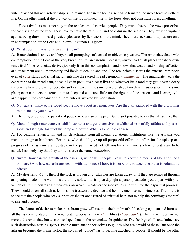wife. Provided this new relationship is maintained, life in the home also can be transformed into a forest-dweller's life. On the other hand, if the old way of life is continued, life in the forest does not constitute forest dwelling.

Forest dwellers must not stay in the residences of married people. They must observe the vows prescribed for each season of the year. They have to brave the rain, sun, and cold during the seasons. They must be vigilant against being drawn toward physical pleasures by fickleness of the mind. They must seek and find pleasure only in contemplation of the Lord and in dwelling upon His glory.

#### Q. What does renunciation (*[sanyasa](#page-51-1)*) mean?

A. Renunciation is above and beyond all promptings of sensual or objective pleasure. The renunciate deals with contemplation of the Lord as the very breath of life, an essential necessity always and at all places for sheer existence itself. The renunciate derives joy only from this contemplation and knows that wealth and kinship, affection and attachment are all momentary and liable to decline and end. The renunciate discards the external reminders even of [caste](#page-44-5) status and ritual sacraments like the sacred thread ceremony (*[upanayana](#page-53-10)*). The rununciate wears the ochre robe of the mendicant, doesn't live in populous places; lives on whatever little food they get; doesn't decry the place where there is no food; doesn't eat twice in the same place or sleep two days in succession in the same place; even conquers the temptation to sleep and eat; cares little for the rigours of the seasons; and is ever joyful and happy in the company of the Lord, who is invoked by meditation.

- Q. Nowadays, many ochre-robed people move about as renunciates. Are they all equipped with the disciplines mentioned by you now?
- A. There is, of course, no paucity of people who are so equipped. But it isn't possible to say that all are like that.
- Q. Many, though renunciates, establish ashrams and get themselves established in worldly affairs and possessions and struggle for worldly pomp and power. What is to be said of these?

A. For genuine renunciation and for detachment from all mental agitations, institutions like the ashrams you mention are great handicaps. For those who should give up all purposeful effort, the effort for the upkeep and progress of the ashram is an obstacle in the path. I need not tell you by what name such renunciates are to be called. I can only say that they don't deserve the name *renunciate*.

Q. Swami, how can the growth of the ashrams, which help people like us to know the means of liberation, be a bondage? And how can ashrams get on without money? I hope it is not wrong to accept help that is voluntarily offered.

A. My dear fellow! It is theft if the lock is broken and valuables are taken away, or if they are removed through an opening made in the wall; it is theft if by soft words in open daylight a person persuades you to part with your valuables. If renunciates cast their eyes on wealth, whatever the motive, it is harmful for their spiritual progress. They should throw all such tasks on some trustworthy devotee and be only unconcerned witnesses. Their duty is to see that the people who seek support or shelter are assured of spiritual help, not to help the hermitage (ashram) to rise and prosper.

The flames of desire to make the ashram grow will rise into the bonfire of self-seeking egotism and burn out all that is commendable in the renunciate, especially, their *[Atmic](#page-42-7)* bliss (*[Atma-ananda](#page-42-8)*). The fire will destroy not merely the renunciate but also those dependent on the renunciate for guidance. The feelings of "I" and "mine" are such destruction-causing sparks. People must attach themselves to guides who are devoid of these. But once the ashram becomes the prime factor, the so-called "guide" has to become attached to people! It should be the other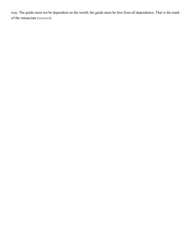way. The guide must not be dependent on the world; the guide must be free from all dependence. That is the mark of the renunciate (*[sanyasi](#page-51-4)*).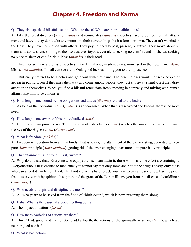## **Chapter 4. Freedom and Karma**

#### <span id="page-15-0"></span>Q. They also speak of blissful ascetics. Who are these? What are their qualifications?

A. Like the forest dwellers (*[vanaprasthas](#page-54-4)*) and renunciates (*[sanyasis](#page-51-4)*), ascetics have to be free from all attachment and hatred; they don't take any interest in their surroundings, be it a forest or town. They aren't worried in the least. They have no relation with others. They pay no heed to past, present, or future. They move about on thorn and stone, silent, smiling to themselves, ever joyous, ever alert, seeking no comfort and no shelter, seeking no place to sleep or eat. Spiritual bliss (*[ananda](#page-41-5)*) is their food.

Even today, there are blissful ascetics in the Himalayas, in silent caves, immersed in their own inner *[Atmic](#page-42-7)* bliss (*[Atma-ananda](#page-42-8)*). Not all can see them. Only good luck can bring you to their presence.

But many pretend to be ascetics and go about with that name. The genuine ones would not seek people or appear in public. Even if they miss their way and come among people, they just slip away silently, lest they draw attention to themselves. When you find a blissful renunciate freely moving in company and mixing with human affairs, take him to be a monster!

Q. How long is one bound by the obligations and duties (*[dharma](#page-44-4)*) related to the body?

A. As long as the individual *[Atma](#page-42-5)* (*[jivatma](#page-46-7)*) is not cognised. When that is discovered and known, there is no more need.

Q. How long is one aware of this individualized *[Atma](#page-42-5)*?

A. Until the stream joins the sea. Till the stream of individual soul (*[jivi](#page-46-9)*) reaches the source from which it came, the Sea of the Highest *[Atma](#page-42-5)* (*[Paramatma](#page-49-7)*).

#### Q. What is freedom (*[moksha](#page-48-1)*)?

A. Freedom is liberation from all that binds. That is to say, the attainment of the ever-existing, ever-stable, everpure *[Atmic](#page-42-7)* principle (*[Atma-thathwa](#page-42-9)*); getting rid of the ever-changing, ever-unreal, impure body principle.

#### Q. That attainment is not for all, is it, Swami?

A. Why do you say that? Everyone who equips themself can attain it; those who make the effort are attaining it. Everyone who is ill is entitled to medicine; you cannot say that only some are. Yet, if the drug is costly, only those who can afford it can benefit by it. The Lord's grace is hard to get; you have to pay a heavy price. Pay the price, that is to say, earn it by spiritual discipline, and the grace of the Lord will save you from this disease of worldliness (*[bhava-roga](#page-43-7)*).

- Q. Who needs this spiritual discipline the most?
- A. All who yearn to be saved from the flood of "birth-death", which is now sweeping them along.
- Q. Baba! What is the cause of a person getting born?
- A. The impact of actions (*[karma](#page-46-0)*).

#### Q. How many varieties of actions are there?

A. Three! Bad, good, and mixed. Some add a fourth, the actions of the spiritually wise one (*[jnani](#page-46-10)*), which are neither good nor bad.

Q. What is bad action?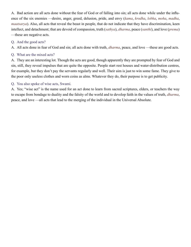A. Bad action are all acts done without the fear of God or of falling into sin; all acts done while under the influence of the six enemies —desire, anger, greed, delusion, pride, and envy (*[kama](#page-46-8)*, *[krodha](#page-47-4)*, *[lobha](#page-47-5)*, *[moha](#page-48-2)*, *[madha](#page-47-6)*, *[maatsarya](#page-47-7)*). Also, all acts that reveal the beast in people, that do not indicate that they have discrimination, keen intellect, and detachment; that are devoid of compassion, truth (*[sathya](#page-52-3)*), *[dharma](#page-44-4)*, peace (*[santhi](#page-51-5)*), and love (*[prema](#page-50-3)*) —these are negative acts.

#### Q. And the good acts?

A. All acts done in fear of God and sin; all acts done with truth, *[dharma](#page-44-4)*, peace, and love —these are good acts.

#### Q. What are the mixed acts?

A. They are an interesting lot. Though the acts are good, though apparently they are prompted by fear of God and sin, still, they reveal impulses that are quite the opposite. People start rest houses and water-distribution centres, for example, but they don't pay the servants regularly and well. Their aim is just to win some fame. They give to the poor only useless clothes and worn coins as alms. Whatever they do, their purpose is to get publicity.

#### Q. You also spoke of wise acts, Swami.

A. Yes; "wise act" is the name used for an act done to learn from sacred scriptures, elders, or teachers the way to escape from bondage to duality and the falsity of the world and to develop faith in the values of truth, *[dharma](#page-44-4)*, peace, and love —all acts that lead to the merging of the individual in the Universal Absolute.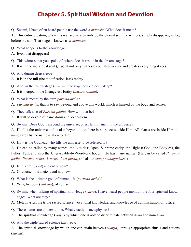## **Chapter 5. Spiritual Wisdom and Devotion**

#### <span id="page-17-0"></span>Q. Swami, I have often heard people use the word *[a-manaska](#page-41-6)*. What does it mean?

A. This entire creation, when it is realised as seen only by the eternal seer, the witness, simply disappears, as fog before the sun. That stage is known as *[a-manaska](#page-41-6)*.

- Q. What happens to the knowledge?
- A. Even that disappears!
- Q. This witness that you spoke of, where does it reside in the dream stage?
- A. It is in the individual soul (*[jiva](#page-46-11)*); it not only witnesses but also weaves and creates everything it sees.
- Q. And during deep sleep?
- A. It is in the full (the modification-less) reality.
- Q. And, in the fourth stage (*[thuriya](#page-53-11)*), the stage beyond deep sleep?
- A. It is merged in the Changeless Entity (*[Iswara-sthana](#page-45-3)*).
- Q. What is meant by the term *[parama-artha](#page-49-8)*?
- A. *[Parama-artha](#page-49-8)*, that is to say, beyond and above this world, which is limited by the body and senses.
- Q. They talk also of *[Parama-padha](#page-49-9)*. How will that be?
- A. It will be devoid of name-form and deed-form.
- Q. Swami! Does God transcend the universe, or is He immanent in the universe?

A. He fills the universe and is also beyond it, so there is no place outside Him. All places are inside Him; all names are His; no name is alien to Him.

Q. How is the Godhead who fills the universe to be referred to?

A. He can be called by many names: the Limitless Open, Supreme entity, the Highest Goal, the Bodyless, the Fullest Full, and also the Ungraspable-by-Word-or-Thought. He has many names. (He can be called *P[arama](#page-49-9)[padha](#page-49-9)*, *[Parama-artha](#page-49-8)*, *[A-sarira](#page-42-10)*, *[Pari-purna](#page-49-10)*, and also *Avaang-manogochara*.)

- Q. Is this entity (*[sat](#page-52-4)*) ancient or new?
- A. Of course, it is ancient and not new.
- Q. What is the ultimate goal of human life (*[purusha-artha](#page-50-4)*)?
- A. Why, freedom (*[moksha](#page-48-1)*), of course.
- Q. Swami, when talking of spiritual knowledge (*[vidya](#page-54-5)*), I have heard people mention the four spiritual knowledges. What are they?
- A. Metaphysics, the triple sacred science, vocational knowledge, and knowledge of administration of justice.
- Q. These names are all new to me. What exactly is metaphysics?
- A. The spiritual knowledge (*[vidya](#page-54-5)*) by which one is able to discriminate between *[Atma](#page-42-5)* and non-*[Atma](#page-42-5)*.
- Q. And the triple sacred science (*thrayee*)?

A. The spiritual knowledge by which one can attain heaven (*[swarga](#page-53-12)*), through appropriate rituals and actions (*[karma](#page-46-0)*).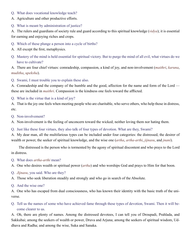- Q. What does vocational knowledge teach?
- A. Agriculture and other productive efforts.
- Q. What is meant by administration of justice?

A. The rulers and guardians of society rule and guard according to this spiritual knowledge (*[vidya](#page-54-5)*); it is essential for earning and enjoying riches and crops.

- Q. Which of these plunge a person into a cycle of births?
- A. All except the first, metaphysics.
- Q. Mastery of the mind is held essential for spiritual victory. But to purge the mind of all evil, what virtues do we have to cultivate?

A. There are four chief virtues: comradeship, compassion, a kind of joy, and non-involvement (*[maithri](#page-47-8)*, *[karuna](#page-46-12)*, *[muditha](#page-48-3)*, *[upeksha](#page-54-6)*).

Q. Swami, I must trouble you to explain these also.

A. Comradeship and the company of the humble and the good, affection for the name and form of the Lord these are included in *[maithri](#page-47-8)*. Compassion is the kindness one feels toward the afflicted.

Q. What is the virtue that is a kind of joy?

A. That is the joy one feels when meeting people who are charitable, who serve others, who help those in distress, etc.

Q. Non-involvement?

A. Non-involvement is the feeling of unconcern toward the wicked; neither loving them nor hating them.

Q. Just like these four virtues, they also talk of four types of devotion. What are they, Swami?

A. My dear man, all the multifarious types can be included under four categories: the distressed, the desirer of wealth or power, the seeker of spiritual knowledge, and the wise one (*[artha](#page-42-6)*, *[artha-arthi](#page-42-11)*, *[jijnasu](#page-46-13)*, and *[jnani](#page-46-10)*).

The distressed is the person who is tormented by the agony of spiritual discontent and who prays to the Lord in distress.

Q. What does *[artha-arthi](#page-42-11)* mean?

A. One who desires wealth or spiritual power (*[artha](#page-42-6)*) and who worships God and prays to Him for that boon.

- Q. *[Jijnasu](#page-46-13)*, you said. Who are they?
- A. Those who seek liberation steadily and strongly and who go in search of the Absolute.
- Q. And the wise one?

A. One who has escaped from dual consciousness, who has known their identity with the basic truth of the universe.

Q. Tell us the names of some who have achieved fame through these types of devotion, Swami. Then it will become clearer to us.

A. Oh, there are plenty of names. Among the distressed devotees, I can tell you of [Droupadi,](#page-44-6) [Prahlada](#page-49-11), and [Sakkubai;](#page-51-6) among the seekers of wealth or power, [Druva](#page-44-7) and [Arjuna](#page-42-12); among the seekers of spiritual wisdom, [Ud](#page-53-13)[dhava](#page-53-13) and [Radha;](#page-50-5) and among the wise, [Suka](#page-52-5) and [Sanaka.](#page-51-7)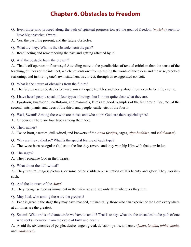## **Chapter 6. Obstacles to Freedom**

- <span id="page-19-0"></span>Q. Even those who proceed along the path of spiritual progress toward the goal of freedom (*[moksha](#page-48-1)*) seem to have big obstacles, Swami.
- A. Yes, the past, the present, and the future obstacles.
- Q. What are they? What is the obstacle from the past?
- A. Recollecting and remembering the past and getting affected by it.
- Q. And the obstacle from the present?

A. That itself operates in four ways! Attending more to the peculiarities of textual criticism than the sense of the teaching, dullness of the intellect, which prevents one from grasping the words of the elders and the wise, crooked reasoning, and justifying one's own statement as correct, through an exaggerated conceit.

Q. What is the nature of obstacles from the future?

A. The future creates obstacles because you anticipate troubles and worry about them even before they come.

Q. I have heard people speak of four types of beings, but I'm not quite clear what they are.

A. Egg-born, sweat-born, earth-born, and mammals, Birds are good examples of the first group; lice, etc. of the second; ants, plants, and trees of the third; and people, cattle, etc. of the fourth.

- Q. Well, Swami! Among these who are theists and who adore God, are there special types?
- A. Of course! There are four types among them too.
- Q. Their names?
- A. Twice-born, ascetics, dull-witted, and knowers of the *[Atma](#page-42-5)* (*[dwijas](#page-45-4)*, sages, *[alpa-buddhis](#page-41-7)*, and *[vidithatmas](#page-54-7)*).
- Q. Why are they called so? What is the special feature of each type?
- A. The twice-born recognise God as in the fire they revere, and they worship Him with that conviction.
- Q. The sages?
- A. They recognise God in their hearts.
- Q. What about the dull-witted?

A. They require images, pictures, or some other visible representation of His beauty and glory. They worship such.

- Q. And the knowers of the *[Atma](#page-42-5)*?
- A. They recognise God as immanent in the universe and see only Him wherever they turn.
- Q. May I ask who among these are the greatest?

A. Each is great in the stage they may have reached, but naturally, those who can experience the Lord everywhere at all times are the greatest.

Q. Swami! What traits of character do we have to avoid? That is to say, what are the obstacles in the path of one who seeks liberation from the cycle of birth and death?

A. Avoid the six enemies of people: desire, anger, greed, delusion, pride, and envy (*[kama](#page-46-8)*, *[krodha](#page-47-4)*, *[lobha](#page-47-5)*, *[mada](#page-47-6)*, and *[maatsarya](#page-47-7)*).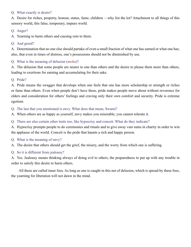#### Q. What exactly is desire?

A. Desire for riches, property, honour, status, fame, children —why list the lot? Attachment to all things of this sensory world, this false, temporary, impure world.

#### Q. Anger?

A. Yearning to harm others and causing ruin to them.

#### Q. And greed?

A. Determination that no one else should partake of even a small fraction of what one has earned or what one has; also, that even in times of distress, one's possessions should not be diminished by use.

#### Q. What is the meaning of delusion (*[moha](#page-48-2)*)?

A. The delusion that some people are nearer to one than others and the desire to please them more than others, leading to exertions for earning and accumulating for their sake.

#### Q. Pride?

A. Pride means the swagger that develops when one feels that one has more scholarship or strength or riches or fame than others. Even when people don't have these, pride makes people move about without reverence for elders and consideration for others' feelings and craving only their own comfort and security. Pride is extreme egotism.

Q. The last that you mentioned is envy. What does that mean, Swami?

A. When others are as happy as yourself, envy makes you miserable; you cannot tolerate it.

Q. There are also certain other traits too, like hypocrisy and conceit. What do they indicate?

A. Hypocrisy prompts people to do ceremonies and rituals and to give away vast sums in charity in order to win the applause of the world. Conceit is the pride that haunts a rich and happy person.

Q. What is the meaning of envy?

A. The desire that others should get the grief, the misery, and the worry from which one is suffering.

#### Q. So it is different from jealousy?

A. Yes. Jealousy means thinking always of doing evil to others, the preparedness to put up with any trouble in order to satisfy this desire to harm others.

All these are called inner foes. As long as one is caught in this net of delusion, which is spread by these foes, the yearning for liberation will not dawn in the mind.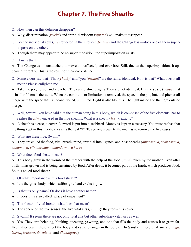## **Chapter 7. The Five Sheaths**

- <span id="page-21-0"></span>Q. How then can this delusion disappear?
- A. Why, discrimination (*[viveka](#page-55-4)*) and spiritual wisdom (*vijnana*) will make it disappear.
- Q. For the individual soul (*[jivi](#page-46-9)*) reflected in the intellect (*[buddhi](#page-44-0)*) and the Changeless —does one of them superimpose on the other?
- A. Though there may appear to be no superimposition, the superimposition exists.
- Q. How is that?

A. The Changeless is unattached, unmoved, unaffected, and ever-free. Still, due to the superimposition, it appears differently. This is the result of their coexistence.

Q. Some elders say that "That (*[Thath](#page-53-14)*)" and "you (*[thwam](#page-53-15)*)" are the same, identical. How is that? What does it all mean? Please enlighten me.

A. Take the pot, house, and a pitcher. They are distinct, right? They are not identical. But the space (*[akasa](#page-41-1)*) that is in all of them is the same. When the condition or limitation is removed, the space in the pot, hut, and pitcher all merge with the space that is unconditioned, unlimited. Light is also like this. The light inside and the light outside merge.

Q. Well, Swami, You have said that the human being in this body, which is composed of the five elements, has to realise the *[Atma](#page-42-5)* encased in the five sheaths. What is a sheath (*[kosa](#page-47-9)*), exactly?

A. A sheath is a case, a cover. A sword is put into a scabbard. Money is kept in a treasury. You must realise that the thing kept in this five-fold case is the real "I". To see one's own truth, one has to remove the five cases.

Q. What are these five, Swami?

A. They are called the food, vital breath, mind, spiritual intelligence, and bliss sheaths (*[anna-maya](#page-42-13)*, *[prana-maya](#page-49-12)*, *[manomaya](#page-48-4)*, *[vijnana-maya](#page-54-8)*, *[ananda-maya](#page-41-8) [kosas](#page-47-9)*).

Q. What does food sheath mean?

A. This body grew in the womb of the mother with the help of the food (*[anna](#page-42-14)*) taken by the mother. Even after birth, it has grown and is being sustained by food. After death, it becomes part of the Earth, which produces food. So it is called food sheath.

- Q. Of what importance is this food sheath?
- A. It is the gross body, which suffers grief and exults in joy.
- Q. Is that its only name? Or does it have another name?
- A. It does. It is also called "place of enjoyment".
- Q. The sheath of vital breath, what does that mean?
- A. The sphere of the five senses, the five vital airs (*[pranas](#page-49-1)*); they form this cover.
- Q. Swami! It seems there are not only vital airs but other subsidiary vital airs as well.

A. Yes. They are: belching, blinking, sneezing, yawning, and one that fills the body and causes it to grow fat. Even after death, these affect the body and cause changes in the corpse. (In Sanskrit, these vital airs are *[naga](#page-48-5)*, *[kurma](#page-47-10)*, *[krukara](#page-47-11)*, *[devadatta](#page-44-8)*, and *[dhananjaya](#page-44-9)*).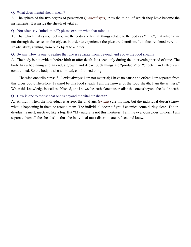#### Q. What does mental sheath mean?

A. The sphere of the five organs of perception (*[jnanendriyas](#page-46-3)*), plus the mind, of which they have become the instruments. It is inside the sheath of vital air.

#### Q. You often say "mind, mind"; please explain what that mind is.

A. That which makes you feel you are the body and feel all things related to the body as "mine"; that which runs out through the senses to the objects in order to experience the pleasure therefrom. It is thus rendered very unsteady, always flitting from one object to another.

#### Q. Swami! How is one to realise that one is separate from, beyond, and above the food sheath?

A. The body is not evident before birth or after death. It is seen only during the intervening period of time. The body has a beginning and an end, a growth and decay. Such things are "products" or "effects", and effects are conditioned. So the body is also a limited, conditioned thing.

The wise one tells himself, "I exist always; I am not material; I have no cause and effect; I am separate from this gross body. Therefore, I cannot be this food sheath. I am the knower of the food sheath; I am the witness." When this knowledge is well established, one knows the truth. One must realise that one is beyond the food sheath.

#### Q. How is one to realise that one is beyond the vital air sheath?

A. At night, when the individual is asleep, the vital airs (*[pranas](#page-49-1)*) are moving; but the individual doesn't know what is happening in them or around them. The individual doesn't fight if enemies come during sleep. The individual is inert, inactive, like a log. But "My nature is not this inertness. I am the ever-conscious witness. I am separate from all the sheaths" —thus the individual must discriminate, reflect, and know.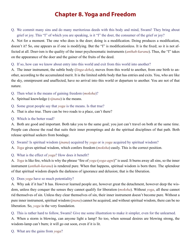## **Chapter 8. Yoga and Freedom**

<span id="page-23-0"></span>Q. We commit many sins and do many meritorious deeds with this body and mind, Swami! They bring about grief or joy. This "I" of which you are speaking, is it "I" the doer, the consumer of the grief or joy?

A. Not for a moment. The one who does is the doer; doing is a modification. Doing produces a modification, doesn't it? So, one appears as if one is modifying. But the "I" is modificationless. It is the fixed; so it is not affected at all. Doer-ism is the quality of the inner psychosomatic instruments (*[anthah-karana](#page-42-15)*). Thus, the "I" takes on the appearance of the doer and the gainer of the fruits of the deed.

Q. If so, how can we know about entry into this world and exit from this world into another?

A. The inner instrument, the subtle body (*[linga-deha](#page-47-12)*), moves from this world to another, from one birth to another, according to the accumulated merit. It is the limited subtle body that has entries and exits. You, who are like the sky, omnipresent and unaffected, have no arrival into this world or departure to another. You are not of that nature.

- Q. Then what is the means of gaining freedom (*[moksha](#page-48-1)*)?
- A. Spiritual knowledge (*[vijnana](#page-54-9)*) is the means.
- Q. Some great people say that *[yoga](#page-55-0)* is the means. Is that true?
- A. That is also true. There can be two roads to a place, can't there?
- Q. Which is the better road?

A. Both are good and important. Both take you to the same goal; you just can't travel on both at the same time. People can choose the road that suits their inner promptings and do the spiritual disciplines of that path. Both release spiritual seekers from bondage.

- Q. Swami! Is spiritual wisdom (*[jnana](#page-46-14)*) acquired by *[yoga](#page-55-0)* or is *[yoga](#page-55-0)* acquired by spiritual wisdom?
- A. *[Yoga](#page-55-0)* gives spiritual wisdom, which confers freedom (*[moksha](#page-48-1)*) easily. This is the correct position.
- Q. What is the effect of *[yoga](#page-55-0)*? How does it benefit?

A. *[Yoga](#page-55-0)* is like fire, which is why the phrase "fire of *[yoga](#page-55-0)* (*[yoga-](#page-55-0)[agni](#page-41-2)*)" is used. It burns away all sins, so the inner instrument (*[anthah-karana](#page-42-15)*) is rendered pure. When that happens, spiritual wisdom is born there. The splendour of that spiritual wisdom dispels the darkness of ignorance and delusion; that is the liberation.

Q. Does *[yoga](#page-55-0)* have so much potentiality?

A. Why ask if it has? It has. However learned people are, however great the detachment, however deep the wisdom, unless they conquer the senses they cannot qualify for liberation (*[moksha](#page-48-1)*). Without *[yoga](#page-55-0)*, all these cannot rid themselves of sin. Unless they clear themselves of sin, their inner instrument doesn't become pure. Without a pure inner instrument, spiritual wisdom (*[jnana](#page-46-14)*) cannot be acquired, and without spiritual wisdom, there can be no liberation. So, *[yoga](#page-55-0)* is the very foundation.

#### Q. This is rather hard to follow, Swami! Give me some illustration to make it simpler, even for the unlearned.

A. When a storm is blowing, can anyone light a lamp? So too, when sensual desires are blowing strong, the wisdom-lamp can't burn; it will go out soon, even if it is lit.

Q. What are the gains from *[yoga](#page-55-0)*?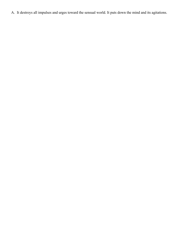A. It destroys all impulses and urges toward the sensual world. It puts down the mind and its agitations.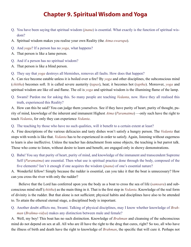## **Chapter 9. Spiritual Wisdom and Yoga**

- <span id="page-25-0"></span>Q. You have been saying that spiritual wisdom (*[jnana](#page-46-14)*) is essential. What exactly is the function of spiritual wisdom?
- A. Spiritual wisdom makes you realise your own Reality (the *[Atma-swarupa](#page-42-16)*).
- Q. And *[yoga](#page-55-0)*? If a person has no *[yoga](#page-55-0)*, what happens?
- A. That person is like a lame person.
- Q. And if a person has no spiritual wisdom?
- A. That person is like a blind person.
- Q. They say that *[yoga](#page-55-0)* destroys all blemishes, removes all faults. How does that happen?

A. Can rice become eatable unless it is boiled over a fire? By *[yoga](#page-55-0)* and other disciplines, the subconscious mind (*[chittha](#page-44-1)*) becomes soft. It is called severe austerity (*[tapas](#page-53-16)*), heat; it becomes hot (*[taptha](#page-53-17)*). Moreover, *[yoga](#page-55-0)* and spiritual wisdom are like oil and flame. The oil is *[yoga](#page-55-0)* and spiritual wisdom is the illumining flame of the lamp.

Q. Swami! Pardon me for asking this. So many people are teaching *[Vedanta](#page-54-10)*, now. Have they all realised this truth, experienced this Reality?

A. How can this be said? You can judge them yourselves. See if they have purity of heart, purity of thought, purity of mind, knowledge of the inherent and immanent Highest *[Atma](#page-42-5)* (*[Paramatma](#page-49-7)*) —only such have the right to teach *[Vedanta](#page-54-10)*, for only they can experience *[Vedanta](#page-54-10)*.

Q. The teaching by those who have no such qualities, will it benefit to a certain extent at least?

A. Fine descriptions of the various delicacies and tasty dishes won't satisfy a hungry person. The *[Vedanta](#page-54-10)* that stops with words is like that. *[Vedanta](#page-54-10)* has to be experienced in order to satisfy. Again, listening without eagerness to learn is also ineffective. Unless the teacher has detachment from sense objects, the teaching is but parrot talk. Those who come to listen, without desire to learn and benefit, are engaged only in showy demonstrations.

Q. Baba! You say that purity of heart, purity of mind, and knowledge of the immanent and transcendent Supreme Self (*[Paramatma](#page-49-7)*) are essential. Then what use is spiritual practice done through the body, composed of the five elements? Isn't it enough if one acquires the wisdom (*[jnana](#page-46-14)*) of one's essential nature?

A. Wonderful fellow! Simply because the rudder is essential, can you take it that the boat is unnecessary? How can you cross the river with only the rudder?

Believe that the Lord has conferred upon you the body as a boat to cross the sea of life (*[samsara](#page-51-8)*) and subconscious mind stuff (*[chittha](#page-44-1)*) as the main thing in it. That is the first step in *[Vedanta](#page-54-10)*. Knowledge of the real form of divinity is the rudder. But that alone is not sufficient; physical habits and disciplines have also to be attended to. To attain the ethereal eternal stage, a disciplined body is important.

Q. Another doubt afflicts me, Swami. Talking of physical disciplines, may I know whether knowledge of *[Brah](#page-43-0)[man](#page-43-0)* (*[Brahma-vidya](#page-43-8)*) makes any distinction between male and female?

A. Well, my boy! This boat has no such distinction. Knowledge of *[Brahman](#page-43-0)* and cleansing of the subconscious mind do not depend on sex at all. All who are ill have the right to the drug that cures, right? So too, all who have the illness of birth and death have the right to knowledge of *[Brahman](#page-43-0)*, the specific that will cure it. Perhaps not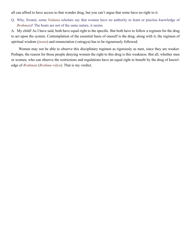all can afford to have access to that wonder drug, but you can't argue that some have no right to it.

Q. Why, Swami, some *[Vedanta](#page-54-10)* scholars say that women have no authority to learn or practise knowledge of *[Brahman](#page-43-0)*)! The boats are not of the same nature, it seems.

A. My child! As I have said, both have equal right to the specific. But both have to follow a regimen for the drug to act upon the system. Contemplation of the essential basis of oneself is the drug; along with it, the regimen of spiritual wisdom (*[jnana](#page-46-14)*) and renunciation (vairagya) has to be rigourously followed.

Women may not be able to observe this disciplinary regimen as rigorously as men, since they are weaker. Perhaps, the reason for those people denying women the right to this drug is this weakness. But all, whether men or women, who can observe the restrictions and regulations have an equal right to benefit by the drug of knowledge of *[Brahman](#page-43-0)* (*[Brahma-vidya](#page-43-8)*). That is my verdict.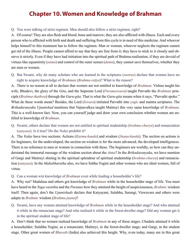## **Chapter 10. Women and Knowledge of Brahman**

#### <span id="page-27-0"></span>Q. You were talking of strict regimen. Men should also follow a strict regimen, right?

A. Of course! They are also flesh and blood, bone and marrow; they are also afflicted with illness. Each and every person who is afflicted with birth and death and suffering from this cycle is in need of this medicine. And whoever helps himself to this treatment has to follow the regimen. Man or woman, whoever neglects the regimen cannot get rid of the illness. People cannot afford to say that they are free from it; they have to stick to it closely and observe it strictly. Even if they have had initiation into the spiritual path of Brahma-realisation, if they are devoid of virtues like equanimity (*[sama](#page-51-9)*) and control of the outer senses (*[dama](#page-44-10)*), they cannot save themselves, whether they are men or women.

Q. But Swami, why do many scholars who are learned in the scriptures (*[sastras](#page-51-3)*) declare that women have no right to acquire knowledge of *[Brahman](#page-43-0)* (*[Brahma-vidya](#page-43-8)*)? What is the reason?

A. There is no reason at all to declare that women are not entitled to knowledge of *[Brahman](#page-43-0)*. [Vishnu](#page-54-11) taught his wife, [Bhudevi,](#page-43-9) the glory of the *[Gita](#page-45-5)*, and the Supreme Lord (*[Parameswara](#page-49-13)*) taught [Parvathi](#page-49-14) the *[Brahman](#page-43-0)* principle (*[Brahma-thathwa](#page-43-6)*) through the *[Guru-gita](#page-45-6)*. That is what the *[Guru-gita](#page-45-6)* means when it says, ["Parvathi](#page-49-14) spoke." What do these words mean? Besides, the Lord (*[Iswara](#page-45-7)*) initiated [Parvathi](#page-49-14) into *[yogic](#page-55-0)* and mantra scriptures. The *[Brihadaranyaka Upanishad](#page-43-10)* mentions that [Yajnavalkya](#page-55-5) taught [Maitreyi](#page-47-13) this very same knowledge of *[Brahman](#page-43-0)*. This is a well-known fact. Now, you can yourself judge and draw your own conclusion whether women are entitled to knowledge of *[Brahman](#page-43-0)*.

Q. Swami, others declare that women are not entitled to spiritual studentship (*[brahma-charya](#page-43-5)*) and renunciation (*[sanyasa](#page-51-1)*). Is it true? Do the *[Vedas](#page-54-12)* prohibit it?

A. The *[Vedas](#page-54-12)* have two sections: Actions (*[Karma-kanda](#page-46-15)*) and wisdom (*[Jnana-kanda](#page-46-16)*). The section on actions is for beginners, for the undeveloped; the section on wisdom is for the more advanced, the developed intelligences. There is no reference to men or women in connection with these. The beginners are worldly, so how can they understand the immortal message of the wisdom section about the *[Atma](#page-42-5)*? In the *Brihadaranyaka*, we have mention of [Gargi](#page-45-8) and [Maitreyi](#page-47-13) shining in the spiritual splendour of spiritual studentship (*[brahma-charya](#page-43-5)*) and renunciation (*[sanyasa](#page-51-1)*). In the *[Mahabharatha](#page-47-14)* also, we have [Subha Yogini](#page-52-6) and other women who are ideal women, full of virtue.

#### Q. Can a woman win knowledge of *[Brahman](#page-43-0)* even while leading a householder's life?

A. Why not? [Madalasa](#page-47-15) and others got knowledge of *[Brahman](#page-43-0)* while in the householder stage of life. You must have heard in the *[Yoga-vasishta](#page-55-6)* and the *[Puranas](#page-50-6)* how they attained the height of auspiciousness, *[Brahmic](#page-43-4)* wisdom itself. Then again, don't the *[Upanishads](#page-53-18)* declare that [Katyayani](#page-46-17), [Sulabha](#page-52-7), [Sarangi,](#page-51-10) [Viswavara](#page-55-7) and others were adepts in *[Brahmic](#page-43-4)* wisdom (*[Brahma-jnana](#page-43-11)*)?

Q. Swami, have any women attained knowledge of *[Brahman](#page-43-0)* while in the householder stage? And who attained it while in the renunciate stage? And who realised it while in the forest-dweller stage? Did any women get it in the spiritual student stage of life?

A. Don't think that no women realised knowledge of *[Brahman](#page-43-0)* in any of these stages. [Chudala](#page-44-11) attained it while a householder; [Sulabha Yogini,](#page-52-7) as a renunciant; [Maitreyi,](#page-47-13) in the forest-dweller stage; and [Gargi](#page-45-8), in the student stage. Other great women of *Bharath* (India) also achieved this height. Why, even today, many are in this great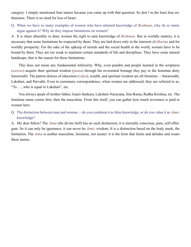category. I simply mentioned four names because you came up with that question. So don't in the least lose enthusiasm. There is no need for loss of heart.

Q. When we have so many examples of women who have attained knowledge of *[Brahman](#page-43-0)*, why do so many argue against it? Why do they impose limitations on women?

A. It is sheer absurdity to deny women the right to earn knowledge of *[Brahman](#page-43-0)*. But in worldly matters, it is necessary that some limitations be respected by them. They are laid down only in the interests of *[dharma](#page-44-4)* and for worldly prosperity. For the sake of the upkeep of morals and the social health in the world, women have to be bound by them. They are too weak to maintain certain standards of life and disciplines. They have some natural handicaps; that is the reason for these limitations.

This does not mean any fundamental inferiority. Why, even pundits and people learned in the scriptures (*[sastras](#page-51-3)*) acquire their spiritual wisdom (*[jnana](#page-46-14)*) through the reverential homage they pay to the feminine deity [Saraswathi.](#page-51-11) The patron deitees of education (*[vidya](#page-54-5)*), wealth, and spiritual wisdom are all feminine [—Saraswathi](#page-51-11), [Lakshmi](#page-47-16), and [Parvathi](#page-49-14). Even in customary correspondence, when women are addressed, they are referred to as, "To …, who is equal to [Lakshmi"](#page-47-16), etc.

You always speak of mother-father, [Gauri](#page-45-9)[-Sankara,](#page-51-12) [Lakshmi](#page-47-16)[-Narayana](#page-48-6), [Sita](#page-52-8)[-Rama](#page-50-7), [Radha-](#page-50-5)[Krishna,](#page-47-17) etc. The feminine name comes first, then the masculine. From this itself, you can gather how much reverence is paid to women here.

Q. The distinction between man and woman —do you condemn it as false knowledge, or do you value it as *[Atmic](#page-42-7)* knowledge?

A. My dear fellow! The *[Atma](#page-42-5)* (the divine Self) has no such distinction; it is eternally conscious, pure, self-effulgent. So it can only be ignorance; it can never be *[Atmic](#page-42-7)* wisdom. It is a distinction based on the body mask, the limitation. The *[Atma](#page-42-5)* is neither masculine, feminine, nor neuter; it is the form that limits and deludes and wears these names.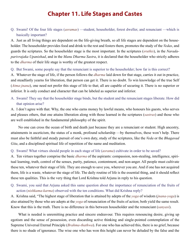## **Chapter 11. Life Stages and Castes**

<span id="page-29-0"></span>Q. Swami! Of the four life stages (*[asramas](#page-42-0)*) —student, householder, forest dweller, and renunciant —which is basically important?

A. Just as all living things are dependent on the life-giving breath, so all life stages are dependent on the householder. The householder provides food and drink to the rest and fosters them, promotes the study of the *[Vedas](#page-54-12)*, and guards the scriptures. So the householder stage is the most important. In the scriptures (*[sruthis](#page-52-9)*), in the *[Narada](#page-48-7)[parivrajaka Upanishad](#page-48-7)*, and in the *[Manu Dharma Sastra](#page-48-8)*, it is declared that the householder who strictly adheres to the *[dharma](#page-44-4)* of their life stage is worthy of the greatest respect.

Q. But Swami, some people say that the renunciant is superior to the householder; how far is this correct?

A. Whatever the stage of life, if the person follows the *[dharma](#page-44-4)* laid down for that stage, carries it out in practice, and steadfastly yearns for liberation, that person can get it. There is no doubt. To win knowledge of the true Self (*[Atma-jnana](#page-42-17)*), one need not prefer this stage of life to that; all are capable of securing it. There is no superior or inferior. It is only conduct and character that can be labeled as superior and inferior.

A. Swami! They say that the householder stage binds, but the student and the renunciant stages liberate. How did that opinion arise?

A. I don't agree with that. Why, the one who earns money by lawful means, who honours his guests, who serves and pleases others, that one attains liberation along with those learned in the scriptures (*[sastras](#page-51-3)*) and those who are well established in the fundamental philosophy of the spirit.

No one can cross the ocean of birth and death just because they are a renunciant or student. High ancestry, attainments in asceticism, the status of a monk, profound scholarship —by themselves, these won't help. There must also be faithful and steady pursuit of one's own duty, study of the scriptures, like the *[Veda](#page-54-13)* or the *[Bhagavad](#page-43-12)  [Gita](#page-43-12)*, and a disciplined spiritual life of repetition of the name and meditation.

#### Q. Swami! What virtues should people in each stage of life (*[asrama](#page-42-0)*) cultivate in order to be saved?

A. Ten virtues together comprise the basic *[dharma](#page-44-4)* of the aspirants: compassion, non-stealing, intelligence, spiritual learning, truth, control of the senses, purity, patience, contentment, and non-anger. All people must cultivate these ten, whatever their stage of life. They are enough to save you, wherever you are. And if one has not acquired them, life is a waste, whatever the stage of life. The daily routine of life is the essential thing, and it should reflect these ten qualities. This is the very thing that Lord [Krishna](#page-47-17) told [Arjuna](#page-42-12) in reply to his question.

Q. Swami, you said that [Arjuna](#page-42-12) asked this same question about the importance of renunciation of the fruits of action (*[nishkama-karma](#page-48-9)*) observed with the ten conditions. What did [Krishna](#page-47-17) reply?

A. [Krishna](#page-47-17) said, "The highest stage of liberation that is attained by adepts of the *[yoga](#page-55-0)* of wisdom (*[jnana-yoga](#page-46-18)*) is also attained by those who are adepts at the *[yoga](#page-55-0)* of renunciation of the fruits of action; both yield the same result. Know that this is the truth. There is no difference in this between householder and the renunciant (*[sanyasi](#page-51-4)*).

What is needed is unremitting practice and sincere endeavour. This requires renouncing desire, giving up egotism and the sense of possession, even discarding active thinking and single-pointed contemplation of the Supreme Universal Eternal Principle (*[Brahma-thathwa](#page-43-6)*). For one who has achieved this, there is no grief, because there is no shade of ignorance. The wise one who has won this height can never be deluded by the false and the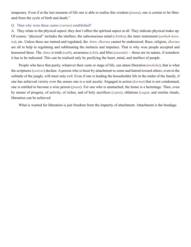temporary. Even if at the last moment of life one is able to realise this wisdom (*[jnana](#page-46-14)*), one is certain to be liberated from the cycle of birth and death."

#### Q. Then why were these [castes](#page-44-5) (*[varnas](#page-54-0)*) established?

A. They relate to the physical aspect; they don't affect the spiritual aspect at all. They indicate physical make-up. Of course, "physical" includes the intellect, the subconscious mind (*[chittha](#page-44-1)*), the inner instrument (*[anthah-kara](#page-42-15)[na](#page-42-15)*), etc. Unless these are trained and regulated, the *[Atmic](#page-42-7) [dharma](#page-44-4)* cannot be understood. Race, religion, *[dharma](#page-44-4)* are all to help in regulating and sublimating the instincts and impulses. That is why wise people accepted and honoured these. The *[Atma](#page-42-5)* is truth (*[sath](#page-52-3)*), awareness (*[chit](#page-44-12)*), and bliss (*[ananda](#page-41-5)*) —those are its nature, if somehow it has to be indicated. This can be realised only by purifying the heart, mind, and intellect of people.

People who have that purity, whatever their caste or stage of life, can attain liberation (*[moksha](#page-48-1)*); that is what the scriptures (*[sastras](#page-51-3)*) declare. A person who is beset by attachment to some and hatred toward others, even in the solitude of the jungle, will meet only evil. Even if one is leading the householder life in the midst of the family, if one has achieved victory over the senses one is a real ascetic. Engaged in action (*[karma](#page-46-0)*) that is not condemned, one is entitled to become a wise person (*[jnani](#page-46-10)*). For one who is unattached, the home is a hermitage. Then, even by means of progeny, of activity, of riches, and of holy sacrifices (*[yajna](#page-55-1)*), oblations (*[yaga](#page-55-8)*), and similar rituals, liberation can be achieved.

What is wanted for liberation is just freedom from the impurity of attachment. Attachment is the bondage.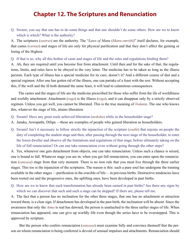## **Chapter 12. The Scriptures and Renunciation**

<span id="page-31-0"></span>Q. Swami, you say that one has to do some things and that one shouldn't do some others. How are we to know which is which? What is the authority?

A. The scriptures (*[sastras](#page-51-3)*) are the authority. The "*Laws of Manu* (*[Manu-smrithi](#page-48-10)*)" itself declares, for example, that [castes](#page-44-5) (*[varnas](#page-54-0)*) and stages of life are only for physical purification and that they don't affect the gaining or losing of the Highest.

Q. If that is so, why all this bother of [caste](#page-44-5) and stages of life and the rules and regulations binding them?

A. Ah, they are required until you become free from attachment. Until then and for the sake of that, the regulations, limits, and rules have to be obeyed to the very letter. The medicine has to be taken as long as the illness persists. Each type of illness has a special medicine for its cure, doesn't it? And a different course of diet and a special regimen. After one has gotten rid of the illness, one can partake of a feast with the rest. Without accepting this, if the well and the ill both demand the same feast, it will lead to calamitous consequences.

The [castes](#page-44-5) and the stages of life are the medicine prescribed for those who suffer from the ills of worldliness and worldly attachment. Attachment (*[raga](#page-50-8)*) is the illness (*[roga](#page-50-9)*), and it can disappear only by a strictly observed regimen. Unless you get well, you cannot be liberated. This is the true meaning of *[Vedanta](#page-54-10)*. The one who knows this, whatever the stage of life, attains liberation.

- Q. Swami! Have any great souls achieved liberation (*[moksha](#page-48-1)*) while in the householder stage?
- A. [Janaka,](#page-46-19) [Aswapathi](#page-42-18), [Dilipa](#page-44-13) —these are examples of people who gained liberation as householders.
- Q. Swami! Isn't it necessary to follow strictly the injunction of the scripture (*[sruthi](#page-52-9)*) that enjoins on people the duty of completing the student stage and then, after passing through the next stage of the householder, to enter the forest dweller and observe all the limitations and regulations of that stage, before ultimately taking on the life of full renunciation? Or can one take renunciation even without going through the other steps?

A. Yes, whenever one gets detachment from objects, one can take renunciation. Unless such a chance is seized, one is bound to fall. Whatever stage you are in, when you get full renunciation, you can enter upon the renunciation (*[sanyasa](#page-51-1)*) stage from that very moment. There is no iron rule that you must live through the three earlier stages. This too is the injunction of the scriptures. The reason is this: such a pure soul has undergone the training available in the other stages —purification in the crucible of life— in previous births. Destructive tendencies have been rooted out and the progressive ones, the uplifting ones, have been developed in past births.

Q. How are we to know that such transformation has already been earned in past births? Are there any signs by which we can discover that such and such a stage can be skipped? If there are, please tell me.

A. The fact that a person has no inclination for the other three stages, that one has no attachment or attraction toward them, is a clear sign. If detachment has developed in the past birth, the inclination will be absent. Since the awareness that only the *[Atma](#page-42-5)* is real has dawned, the person is unattached to the three earlier stages of life. When renunciation has appeared, one can give up worldly life even though the series have to be overstepped. This is approved by scripture.

 But the person who confers renunciation (*[sanyasa](#page-51-1)*) must examine fully and convince themself that the person on whom renunciation is being conferred is devoid of sensual impulses and attachments. Renunciation should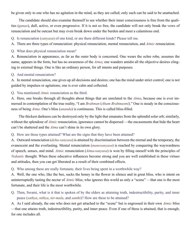be given only to one who has no agitation in the mind, as they are called; only such can be said to be unattached.

The candidate should also examine themself to see whether their inner consciousness is free from the qualities (*[gunas](#page-45-10)*), dull, active, or even progressive. If it is not so free, the candidate will not only break the vows of renunciation and be outcast but may even break down under the burden and meet a calamitous end.

Q. Is renunciation (*[sanyasa](#page-51-1)*) of one kind, or are there different kinds? Please tell me.

A. There are three types of renunciation: physical renunciation, mental renunciation, and *[Atmic](#page-42-7)* renunciation.

Q. What does physical renunciation mean?

A. Renunciation in appearance, as far as the outer body is concerned. One wears the ochre robe, assumes the name, appears in the form, but has no awareness of the *[Atma](#page-42-5)*; one wanders amidst all the objective desires clinging to external things. One is like an ordinary person, for all intents and purposes.

#### Q. And mental renunciation?

A. In mental renunciation, one gives up all decisions and desires; one has the mind under strict control; one is not guided by impulses or agitations; one is ever calm and collected.

#### Q. You mentioned *[Atmic](#page-42-7)* renunciation as the third.

A. Here, one breaks through all thoughts about things that are unrelated to the *[Atma](#page-42-5)*, because one is ever immersed in contemplation of the true reality, "I am *[Brahman](#page-43-0)* (*[Aham Brahmasmi](#page-41-9)*)." One is steady in the consciousness of being *[Atma](#page-42-5)*. One's bliss (*[ananda](#page-41-5)*) is continuous. This is called bliss-filled.

The thickest darkness can be destroyed only by the light that emanates from the splendid solar orb; similarly, without the splendour of *[Atmic](#page-42-7)* renunciation, ignorance cannot be dispersed —the encasements that hide the heart can't be shattered and the *[Atma](#page-42-5)* can't shine in its own glory.

#### Q. How are these types attained? What are the signs that they have been attained?

A. Outward renunciation (*[deha](#page-44-2)[-sanyasa](#page-51-1)*) is attained by discrimination between the eternal and the temporary, the evanescent and the everlasting. Mental renunciation (*[manosanyasa](#page-48-11)*) is reached by conquering the waywardness of speech, senses, and mind. *[Atmic](#page-42-7)* renunciation (*[Atma](#page-42-5)*-*[sanyasa](#page-51-1)*) is won by filling oneself with the principles of *[Vedantic](#page-54-2)* thought. When these educative influences become strong and you are well established in these virtues and attitudes, then you can get liberated as a result of their combined effects.

#### Q. Who among these are really fortunate, their lives being spent in a worthwhile way?

A. Well, the one who, like the bee, sucks the honey in the flower in silence and in great bliss, who is intent on uninterruptedly tasting the nectar of *[Atmic](#page-42-7)* bliss; who ignores this world as only a "scene" —that one is the most fortunate, and their life is the most worthwhile.

Q. Then, Swami, what is it that is spoken of by the elders as attaining truth, indestructibility, purity, and inner peace (*[sathya](#page-52-3)*, *[nithya](#page-48-12)*, *[nir-mala](#page-48-13)*, and *[santhi](#page-51-5)*)? How are these to be attained?

A. As I said already, the one who does not get attached to the "scene" but is engrossed in their own *[Atmic](#page-42-7)* bliss —that one attains truth, indestructibility, purity, and inner peace. Even if one of these is attained, that is enough; for one includes all.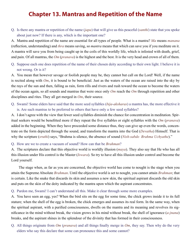## **Chapter 13. Mantras and Repetition of the Name**

<span id="page-33-0"></span>Q. Is there any mantra or repetition of the name (*[japa](#page-46-20)*) that will give us this peaceful (*[santhi](#page-51-5)*) state that you spoke about just now? If there is any, which is the important one?

A. Mantra and repetition of the name are essential for all types of people. What is a mantra? *Ma* means *[manana](#page-47-18)* (reflection, understanding) and *thra* means saving, so *mantra* means that which can save you if you meditate on it. A mantra will save you from being caught up in the coils of this worldly life, which is infested with death, grief, and pain. Of all mantras, the *[Om](#page-49-3)* (*[pranava](#page-49-4)*) is the highest and the best. It is the very head and crown of all of them.

Q. Suppose each one does repetition of the name of their chosen deity according to their own light. I believe it is not wrong. Or is it?

A. You mean that however savage or foolish people may be, they cannot but call on the Lord! Well, if the name is recited along with *[Om](#page-49-3)*, it is bound to be beneficial. Just as the waters of the ocean are raised into the sky by the rays of the sun and then, falling as rain, form rills and rivers and rush toward the ocean to become the waters of the ocean again, so all sounds and mantras that were once only *[Om](#page-49-3)* reach the *[Om](#page-49-3)* through repetition and other disciplines and rites. They all get merged in *[Om](#page-49-3)*, their source.

Q. Swami! Some elders have said that the more seed syllables (*[bija](#page-43-13)*-*[aksharas](#page-41-10)*) a mantra has, the more effective it is. Are such mantras to be preferred to others that have only a few seed syllables?

A. I don't agree with the view that fewer seed syllables diminish the chance for concentration in meditation. Spiritual seekers would be benefitted more if they repeat the five syllables or eight syllables with the *[Om](#page-49-3)* (*[pranava](#page-49-4)*) added in the beginning. When they have proceeded some distance thus, they can give up even the words, concentrate on the form depicted through the sound, and transform the mantra into the God (*[Devatha](#page-44-14)*) Himself. That is why the scripture (*[sruthi](#page-52-9)*) says, ["Brahma](#page-43-4) is silence, the absence of sound (*Nish-sabdo Brahma Uchyathe*)."

#### Q. How are we to create a vacuum of sound? How can that be *[Brahman](#page-43-0)*?

A. The scriptures declare that this objective world is worldly illusion (*[maya](#page-48-14)*). They also say that He who has all this illusion under His control is the Master (*[Iswara](#page-45-7)*). So try to have all this illusion under control and become the Lord yourself.

The stage when, as far as you are concerned, the objective world has come to nought is the stage when you attain the Supreme Absolute *[Brahman](#page-43-0)*. Until the objective world is set to nought, you cannot attain *[Brahman](#page-43-0)*; that is certain. Like the snake that discards its skin and assumes a new skin, the spiritual aspirant discards the old skin and puts on the skin of the deity indicated by the mantra upon which the aspirant concentrates.

#### Q. Pardon me, Swami! I can't understand all this. Make it clear through some more examples.

A. You have seen an egg, yes? When the bird sits on the egg for some time, the chick grows inside it to its full stature; when the shell of the egg is broken, the chick emerges and assumes its real form. In the same way, when the spiritual aspirant, with a purified consciousness, dwells on the mantra and its meaning and revolves its significance in the mind without break, the vision grows in his mind without break, the shell of ignorance (*[a-jnana](#page-41-11)*) breaks, and the aspirant shines in the splendour of the divinity that has formed in their consciousness.

Q. All things originate from *[Om](#page-49-3)* (*[pranava](#page-49-4)*) and all things finally merge in *[Om](#page-49-3)*, they say. Then why do the very elders who say this declare that some can pronounce this and some cannot?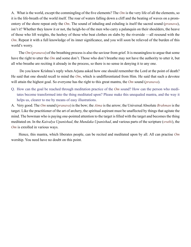A. What is the world, except the commingling of the five elements? The *[Om](#page-49-3)* is the very life of all the elements, so it is the life-breath of the world itself. The roar of waters falling down a cliff and the beating of waves on a promontory of the shore repeat only the *[Om](#page-49-3)*. The sound of inhaling and exhaling is itself the sacred sound (*[pranava](#page-49-4)*), isn't it? Whether they know it or not, the heigh-ho of the men who carry a palanquin on their shoulders, the heave of those who lift weights, the heehoy of those who beat clothes on slabs by the riverside —all resound with the *[Om](#page-49-3)*. Repeat it with a full knowledge of its inner significance, and you will soon be relieved of the burden of this world's worry.

The *[Om](#page-49-3)* (*[pranava](#page-49-4)*) of the breathing process is also the saviour from grief. It is meaningless to argue that some have the right to utter the *[Om](#page-49-3)* and some don't. Those who don't breathe may not have the authority to utter it, but all who breathe are reciting it already in the process, so there is no sense in denying it to any one.

 Do you know [Krishna'](#page-47-17)s reply when [Arjuna](#page-42-12) asked how one should remember the Lord at the point of death? He said that one should recall to mind the *[Om](#page-49-3)*, which is undifferentiated from Him. He said that such a devotee will attain the highest goal. So everyone has the right to this great mantra, the *[Om](#page-49-3)* sound (*[pranava](#page-49-4)*).

Q. How can the goal be reached through meditation practice of the *[Om](#page-49-3)* sound? How can the person who meditates become transformed into the thing meditated upon? Please make this unequaled mantra, and the way it helps us, clearer to me by means of easy illustrations.

A. Very good. The *[Om](#page-49-3)* sound (*[pranava](#page-49-4)*) is the bow; the *[Atma](#page-42-5)* is the arrow; the Universal Absolute *[Brahman](#page-43-0)* is the target. Like the practitioner of the art of archery, the spiritual aspirant must be unaffected by things that agitate the mind. The bowman who is paying one-pointed attention to the target is filled with the target and becomes the thing meditated on. In the *[Kaivalya Upanishad](#page-46-21)*, the *[Mundaka Upanishad](#page-48-15)*, and various parts of the scripture (*[sruthi](#page-52-9)*), the *[Om](#page-49-3)* is extolled in various ways.

Hence, this mantra, which liberates people, can be recited and meditated upon by all. All can practise *[Om](#page-49-3)* worship. You need have no doubt on this point.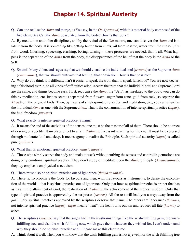## **Chapter 14. Spiritual Austerity**

<span id="page-35-0"></span>Q. Can one realise the *[Atma](#page-42-5)* and merge, as You say, in the *[Om](#page-49-3)* (*[pranava](#page-49-4)*) with this material body composed of the five elements? Can the *[Atma](#page-42-5)* be isolated from the body? How is that done?

A. By meditation and other disciplines, and by the recital of the *[Om](#page-49-3)* mantra, one can discover the *[Atma](#page-42-5)* and isolate it from the body. It is something like getting butter from curds, oil from sesame, water from the subsoil, fire from wood. Churning, squeezing, crushing, boring, turning —these processes are needed, that is all. What happens is the separation of the *[Atma](#page-42-5)* from the body, the disappearance of the belief that the body is the *[Atma](#page-42-5)* or the Self.

Q. Swami! Many elders and sages say that we should visualise the individual soul (*[jivatma](#page-46-7)*) as the Supreme *[Atma](#page-42-5)* (*[Paramatma](#page-49-7)*), that we should cultivate that feeling, that conviction. How is that possible?

A. Why do you think it is difficult? Isn't it easier to speak the truth than to speak falsehood? You are now declaring a falsehood as true, so all kinds of difficulties arise. Accept the truth that the individual soul and Supreme Lord are the same, and things become easy. First, recognise the *[Atma](#page-42-5)*, the "Self", as unrelated to the body; you can do this by meditation, etc. Just as scent is separated from flowers, sugar from cane, gold from rock, so separate the *[Atma](#page-42-5)* from the physical body. Then, by means of single-pointed reflection and meditation, etc., you can visualise the individual *[Atma](#page-42-5)* as one with the Supreme *[Atma](#page-42-5)*. That is the consummation of intense spiritual practice (*[tapas](#page-53-16)*), the final freedom (*[nirvana](#page-48-16)*).

Q. What exactly is intense spiritual practice, Swami?

A. It means the end of the activities of the senses; one must be the master of all of them. There should be no trace of craving or appetite. It involves effort to attain *[Brahman](#page-43-0)*, incessant yearning for the end. It must be expressed through moderate food and sleep. It means agony to realise the Principle. Such spiritual austerity (*[tapas](#page-53-16)*) is called pure (*[sathwic](#page-52-10)*).

#### Q. What then is emotional spiritual practice (*[rajasic](#page-50-10) [tapas](#page-53-16)*)?

A. Those who simply starve the body and make it weak without curbing the senses and controlling emotions are doing only emotional spiritual practice. They don't study or meditate upon the *[Atmic](#page-42-7)* principle (*[Atma-thathwa](#page-42-9)*); they lay emphasis on physical asceticism.

#### Q. There must also be spiritual practice out of ignorance (*[thamasic](#page-53-19) [tapas](#page-53-16)*).

A. There is. To propitiate the Gods for favours and then, with the favours as instruments, to desire the exploitation of the world —that is spiritual practice out of ignorance. Only that intense spiritual practice is proper that has as its aim the attainment of God, the realisation of *[Brahman](#page-43-0)*, the achievement of the highest wisdom. Only that type of spiritual practice is approved by the scriptures (*[sastras](#page-51-3)*). All the rest will lead you astray, away from the goal. Only spiritual practices approved by the scriptures deserve that name. The others are ignorance (*[thamas](#page-53-20)*), not intense spiritual practice (*[tapas](#page-53-16)*). *[Tapas](#page-53-16)* means "heat"; the heat burns out sin and reduces all fate (*[karma](#page-46-0)*) to ashes.

- Q. The scriptures (*[sastras](#page-51-3)*) say that the sages had in their ashrams things like the wish-fulfilling gem, the wishfulfilling tree, and also the wish-fulfilling cow, which gave them whatever they wished for. I can't understand why they should do spiritual practice at all. Please make this clear to me.
- A. Think about it well. Then you will know that the wish-fulfilling gem is not a jewel, nor the wish-fulfilling tree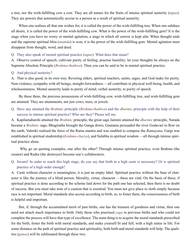a tree, nor the wish-fulfilling cow a cow. They are all names for the fruits of intense spiritual austerity (*[tapas](#page-53-16)*). They are powers that automatically accrue to a person as a result of spiritual austerity.

When one realises all that one wishes for, it is called the power of the wish-fulfilling tree. When one subdues all desire, it is called the power of the wish-fulfilling cow. What is the power of the wish-fulfilling gem? It is the stage when you have no worry or mental agitation, a stage in which all sorrow is kept afar. When thought ends and the supreme spiritual bliss (*[ananda](#page-41-5)*) is won, it is the power of the wish-fulfilling gem. Mental agitation must disappear from thought, word, and deed.

Q. They also speak of mental spiritual practice (*[tapas](#page-53-16)*). What does that mean?

A. Observe control of speech; cultivate purity of feeling; practise humility; let your thoughts be always on the Supreme Absolute Principle (*[Brahma-thathwa](#page-43-6)*). Then you can be said to be in mental spiritual practice.

#### Q. And physical austerity?

A. That is also good, in its own way. Revering elders, spiritual teachers, saints, sages, and God make for purity. Non-violence, sympathy with all beings, straight-forwardness —all contribute to physical well-being, health, and wholesomeness. Mental austerity leads to purity of mind; verbal austerity, to purity of speech.

By these three, the precious possessions of wish-fulfilling cow, wish-fulfilling tree, and wish-fulfilling gem are attained. They are attainments, not just cows, trees, or jewels.

Q. Have any attained the *Brahmic* principle (*[Brahma-thathwa](#page-43-6)*) and the *[dharmic](#page-44-15)* principle with the help of their success in intense spiritual practice? Who are they? Please tell me.

A. [Kapilamaharshi](#page-46-22) attained the *Brahmic* principle, the great sage [Jaimini](#page-46-23) attained the *[dharmic](#page-44-15)* principle, [Narada](#page-48-17) became a *Brahmic* sage, [Bhagiratha](#page-43-14) brought the [Ganga](#page-45-11) down, [Gautama](#page-45-12) persuaded the river [Godavari](#page-45-13) to flow on the earth, [Valmiki](#page-54-14) realised the force of the [Rama](#page-50-7) mantra and was enabled to compose the *[Ramayana](#page-50-11)*, [Gargi](#page-45-8) was established in spiritual studentship (*[brahma-charya](#page-43-5)*), and [Sulabha](#page-52-7) in spiritual wisdom —all through intense spiritual practice alone.

 Why go on quoting examples, one after the other? Through intense spiritual practice, even [Brahma](#page-43-4) (the creator) and [Rudra](#page-50-12) (the destroyer) become one's collaborators.

Q. Swami! In order to reach this high stage, do you say that birth in a high [caste](#page-44-5) is necessary? Or is spiritual practice of a high order enough?

A. [Caste](#page-44-5) without character is meaningless; it is just an empty label. Spiritual practice without the base of character is like the journey of a blind person. Morality, virtue, character —these are vital. On the basis of these, if spiritual practice is done according to the scheme laid down for the path one has selected, then there is no doubt of success. But you must take note of a caution that is essential. You must not give place to sloth simply because race is not important. Moral standards also accrue according to birth, so, to foster them, the consciousness of birth is helpful and important.

But, if, through the accumulated merit of past births, one has the treasure of goodness and virtue, then one need not attach much importance to birth. Only those who practised *[yoga](#page-55-0)* in previous births and who could not complete the process will have that type of excellence. The main thing is to acquire the moral standards prescribed for the birth, foster the birth with moral standards, and make yourself fit and full, with a high status in life. For some distance on the path of spiritual practice and spirituality, both birth and moral standards will help. The qualities (*[gunas](#page-45-10)*) will be sublimated through these two.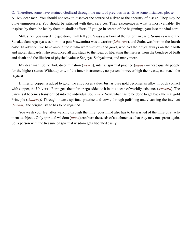#### Q. Therefore, some have attained Godhead through the merit of previous lives. Give some instances, please.

A. My dear man! You should not seek to discover the source of a river or the ancestry of a sage. They may be quite unimpressive. You should be satisfied with their services. Their experience is what is most valuable. Be inspired by them, be led by them to similar efforts. If you go in search of the beginnings, you lose the vital core.

Still, since you raised the question, I will tell you. [Vyasa](#page-55-9) was born of the fisherman [caste;](#page-44-5) [Sounaka](#page-52-11) was of the Sunaka clan; [Agastya](#page-41-12) was born in a pot; [Viswamitra](#page-55-10) was a warrior (*[kshatriya](#page-47-19)*), and [Sutha](#page-53-21) was born in the fourth [caste.](#page-44-5) In addition, we have among those who were virtuous and good, who had their eyes always on their birth and moral standards, who renounced all and stuck to the ideal of liberating themselves from the bondage of birth and death and the illusion of physical values: [Sanjaya](#page-51-13), [Sathyakama,](#page-52-12) and many more.

My dear man! Self-effort, discrimination (*[viveka](#page-55-4)*), intense spiritual practice (*[tapas](#page-53-16)*) —these qualify people for the highest status. Without purity of the inner instruments, no person, however high their [caste,](#page-44-5) can reach the Highest.

If inferior copper is added to gold, the alloy loses value. Just as pure gold becomes an alloy through contact with copper, the Universal Form gets the inferior ego added to it in this ocean of worldly existence (*[samsara](#page-51-8)*). The Universal becomes transformed into the individual soul (*[jivi](#page-46-9)*). Now, what has to be done to get back the real gold Principle (*[thathwa](#page-53-5)*)? Through intense spiritual practice and vows, through polishing and cleansing the intellect (*[buddhi](#page-44-0)*), the original stage has to be regained.

You wash your feet after walking through the mire; your mind also has to be washed of the mire of attachment to objects. Only spiritual wisdom (*[jnana](#page-46-14)*) can burn the seeds of attachment so that they may not sprout again. So, a person with the treasure of spiritual wisdom gets liberated easily.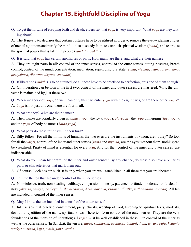## **Chapter 15. Eightfold Discipline of Yoga**

<span id="page-38-0"></span>Q. To get the fortune of escaping birth and death, elders say that *[yoga](#page-55-0)* is very important. What *[yoga](#page-55-0)* are they talking about?

A. The *[Yoga-sastra](#page-55-11)* declares that certain postures have to be utilised in order to remove the ever-widening circles of mental agitations and purify the mind —also to steady faith, to establish spiritual wisdom (*[jnana](#page-46-14)*), and to arouse the spiritual power that is latent in people (*[kundalini](#page-47-20) [sakthi](#page-51-14)*).

Q. It is said that *[yoga](#page-55-0)* has certain auxiliaries or parts. How many are there, and what are their names?

A. They are eight parts in all: control of the inner senses, control of the outer senses, sitting postures, breath control, control of the mind, concentration, meditation, superconscious state (*[yama](#page-55-12)*, *[niyama](#page-49-15)*, *[asana](#page-42-19)*, *[pranayama](#page-49-16)*, *[pratyahara](#page-49-17)*, *[dharana](#page-44-16)*, *[dhyana](#page-44-17)*, *[samadhi](#page-51-15)*).

Q. If liberation (*[mukthi](#page-48-18)*) is to be attained, do all these have to be practised to perfection, or is one of them enough?

A. Oh, liberation can be won if the first two, control of the inner and outer senses, are mastered. Why, the universe is maintained by just these two!

Q. When we speak of *[yoga](#page-55-0)*, do we mean only this particular *[yoga](#page-55-0)* with the eight parts, or are there other *[yogas](#page-55-0)*?

A. *[Yoga](#page-55-0)* is not just this one; there are four in all.

Q. What are they? What are their names?

A. Their names are popularly given as *mantra [yoga](#page-55-0)*, the royal *[yoga](#page-55-0)* (*[raja-yoga](#page-50-13)*), the *[yoga](#page-55-0)* of merging (*[laya](#page-47-21) [yoga](#page-55-0)*), and the *[yoga](#page-55-0)* of body postures (*[hatha yoga](#page-45-14)*).

Q. What parts do these four have, in their turn?

A. Silly fellow! For all the millions of humans, the two eyes are the instruments of vision, aren't they? So too, for all the *[yogas](#page-55-0)*, control of the inner and outer senses (*[yama](#page-55-12)* and *[niyama](#page-49-15)*) are the eyes; without them, nothing can be visualised. Purity of mind is essential for every *[yogi](#page-55-13)*. And for that, control of the inner and outer senses are indispensable.

- Q. What do you mean by control of the inner and outer senses? By any chance, do these also have auxiliaries parts or characteristics that mark them out?
- A. Of course. Each has ten such. It is only when you are well-established in all these that you are liberated.

Q. Tell me the ten that are under control of the inner senses.

A. Nonviolence, truth, non-stealing, celibacy, compassion, honesty, patience, fortitude, moderate food, cleanliness (*[ahimsa](#page-41-13)*, *[sathya](#page-52-3)*, *[a-stheya](#page-42-20)*, *[brahma-charya](#page-43-5)*, *[daya](#page-44-18)*, *[aarjava](#page-41-14)*, *[kshama](#page-47-22)*, *[dhrithi](#page-44-19)*, *[mithaahaara](#page-48-19)*, *[soucha](#page-52-13)*). All ten are included in control of the inner senses.

#### Q. May I know the ten included in control of the outer senses?

A. Intense spiritual practice, contentment, piety, charity, worship of God, listening to spiritual texts, modesty, devotion, repetition of the name, spiritual vows. These ten form control of the outer senses. They are the very foundations of the mansion of liberation; all *[yogis](#page-55-13)* must be well established in these —in control of the inner as well as the outer senses. (In Sanskrit, the ten are: *[tapas](#page-53-16)*, *[santhosha](#page-51-16)*, *[aasthikya-buddhi](#page-41-15)*, *[dana](#page-44-20)*, *[Iswara](#page-45-7) [puja](#page-50-14)*, *[Vedanta](#page-54-15) [vaakya-sravana](#page-54-15)*, *[lajja](#page-47-23)*, *mathi*, *[japa](#page-46-20)*, *[vratha](#page-55-14)*.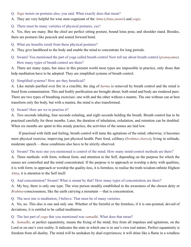- Q. *[Yoga](#page-55-0)* insists on postures also, you said. What exactly does that mean?
- A. They are very helpful for wise men cognizant of the *[Atma](#page-42-5)* (*[Atma-jnanis](#page-42-21)*) and *[yogis](#page-55-13)*.
- Q. There must be many varieties of physical postures, yes?

A. Yes, they are many. But the chief are perfect sitting posture, bound lotus pose, and shoulder stand. Besides, there are postures like peacock and seated forward bend.

- Q. What are benefits result from these physical postures?
- A. They give hardihood to the body and enable the mind to concentrate for long periods.
- Q. Swami! You mentioned the part of [yoga](#page-55-0) called breath control Now tell me about breath control (*[pranayama](#page-49-16)*). How many types of breath control are there?

A. There are many types, but since in this present world most types are impossible in practice, only those that help meditation have to be adopted. They are simplified systems of breath control.

#### Q. Simplified systems? How are they beneficial?

A. Like metals purified over fire in a crucible, the slag of *[karma](#page-46-0)* is removed by breath control and the mind is freed from contamination. This and bodily purification are brought about; both mind and body are rendered pure. There are two types of breathing exercises: one with and the other without a mantra. The one without can at best transform only the body, but with a mantra, the mind is also transformed.

#### Q. Swami! How are we to practise it?

A. Two seconds inhaling, four seconds exhaling, and eight seconds holding the breath. Breath control has to be practised carefully for three months. Later, the duration of inhalation, exhalation, and retention can be doubled. When six months are spent in this steady practice, the activities of the senses are laid low.

If practised with faith and feeling, breath control will tame the agitations of the mind; otherwise, it becomes mere physical exercise, improving just physical health. Pure food, celibacy (*[brahma-charya](#page-43-5)*), living in solitude, moderate speech —these conditions also have to be strictly observed.

#### Q. Swami! The next one you mentioned is control of the mind. How many mind-control methods are there?

A. Three methods: with form, without form, and attention to the Self, depending on the purpose for which the senses are controlled and the mind concentrated. If the purpose is to approach or worship a deity with qualities, it is with form; to approach or worship the quality-less, it is formless; to realise the truth-wisdom-infinite Highest *[Atma](#page-42-5)*, it is attention to the Self itself.

#### Q. And concentration? Swami! What is meant by that? How many types of concentration are there?

A. My boy, there is only one type. The wise person steadily established in the awareness of the chosen deity or *[Brahma](#page-43-4)*-consciousness, like the earth carrying a mountain —that is concentration.

Q. The next one is meditation, I believe. That must be of many varieties.

A. No, no. This also is one and only one. Whether of the formful or the formless, if it is one-pointed, devoid of deviations, it is entitled to be called meditation.

#### Q. The last part of *[yoga](#page-55-0)* that you mentioned was *[samadhi](#page-51-15)*. What does that mean?

A. *[Samadhi](#page-51-15)*, or perfect equanimity, means the fixing of the mind, free from all impulses and agitations, on the Lord or on one's own reality. It indicates the state in which one is in one's own real nature. Perfect equanimity is freedom from all duality. The mind will be unshaken by dual experiences; it will shine like a flame in a windless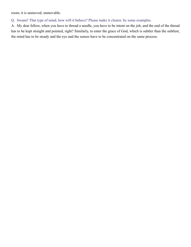room; it is unmoved, unmovable.

Q. Swami! That type of mind, how will it behave? Please make it clearer, by some examples.

A. My dear fellow, when you have to thread a needle, you have to be intent on the job, and the end of the thread has to be kept straight and pointed, right? Similarly, to enter the grace of God, which is subtler than the subtlest, the mind has to be steady and the eye and the senses have to be concentrated on the same process.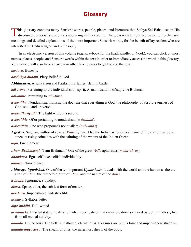## **Glossary**

<span id="page-41-0"></span>This glossary contains many Sanskrit words, people, places, and literature that Sathya Sai Baba uses in His discourses, especially discourses appearing in this volume. The glossary attempts to provide comprehensive meanings and detailed explanations of the more important Sanskrit words, for the benefit of lay readers who are interested in Hindu religion and philosophy.

In an electronic version of this volume (e.g. an e-book for the Ipad, Kindle, or Nook), you can click on most names, places, people, and Sanskrit words within the text in order to immediately access the word in this glossary. Your device will also have an arrow or other link to press to get back to the text.

<span id="page-41-14"></span>*aarjava*. Honesty.

<span id="page-41-15"></span>*aasthikya-buddhi*. Piety, belief in God.

<span id="page-41-18"></span>**Abhimanyu**. [Arjuna](#page-42-12)'s son and [Parikshith](#page-49-18)'s father; slain in battle.

<span id="page-41-16"></span>*adi-Atma*. Pertaining to the individual soul, spirit, or manifestation of supreme [Brahman.](#page-43-0)

*adi-atmic*. Pertaining to *[adi-Atma](#page-41-16)*.

<span id="page-41-17"></span>*a-dwaitha*. Nondualism, monism, the doctrine that everything is God, the philosophy of absolute oneness of God, soul, and universe.

*a-dwaitha-jyothi*. The light without a second.

*a-dwaithic*. Of or pertaining to nondualism (*[a-dwaitha](#page-41-17)*).

*a-dwaithin*. One who propounds nondualism (*[a-dwaitha](#page-41-17)*).

<span id="page-41-12"></span>**Agastya**. Sage and author of several *[Vedic](#page-54-16)* hymns. Also the Indian astronomical name of the star of Canopus, since its rising coincides with the calming of the waters of the Indian Ocean.

<span id="page-41-2"></span>*agni*. Fire element.

<span id="page-41-9"></span>*Aham Brahmasmi*. "I am [Brahman.](#page-43-0)" One of the great *[Vedic](#page-54-16)* aphorisms (*mahavakyas*).

<span id="page-41-3"></span>*ahamkara*. Ego, self-love, selfish individuality.

<span id="page-41-13"></span>*ahimsa*. Nonviolence.

- *Aithareya Upanishad*. One of the ten important *[Upanishads](#page-53-18)*. It deals with the world and the human as the creation of *[Atma](#page-42-5)*, the three-fold birth of *[Atma](#page-42-5)*, and the nature of the *[Atma](#page-42-5)*.
- <span id="page-41-11"></span>*a-jnana*. Ignorance, stupidity.

<span id="page-41-1"></span>*akasa*. Space, ether, the subtlest form of matter.

<span id="page-41-4"></span>*a-kshara*. Imperishable, indestructible.

<span id="page-41-10"></span>*akshara*. Syllable, letter.

<span id="page-41-7"></span>*alpa-buddhi*. Dull-witted.

<span id="page-41-6"></span>*a-manaska*. Blissful state of realization when seer realizes that entire creation is created by Self; mindless; free from all mental activity.

<span id="page-41-5"></span>*ananda*. Divine bliss. The Self is unalloyed, eternal bliss. Pleasures are but its faint and impermanent shadows.

<span id="page-41-8"></span>*ananda-maya kosa*. The sheath of bliss, the innermost sheath of the body.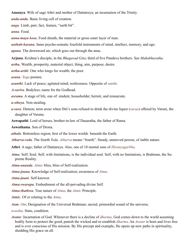<span id="page-42-23"></span>**Anasuya**. Wife of sage [Athri](#page-42-22) and mother of [Dattatreya](#page-44-21); an incarnation of the Trinity.

<span id="page-42-4"></span>*anda-anda*. Basic living cell of creation.

*anga*. Limb, part, fact, feature, "earth bit".

<span id="page-42-14"></span>*anna*. Food.

<span id="page-42-13"></span>*anna-maya kosa*. Food sheath, the material or gross outer layer of man.

<span id="page-42-15"></span>*anthah-karana*. Inner psycho-somatic fourfold instruments of mind, intellect, memory, and ego.

<span id="page-42-1"></span>*apana*. The downward air, which goes out through the anus.

<span id="page-42-12"></span>**Arjuna**. [Krishna](#page-47-17)'s disciple, in the *[Bhagavad Gita](#page-43-12)*; third of five [Pandava](#page-49-19) brothers. See *[Mahabharatha](#page-47-14)*.

<span id="page-42-6"></span>*artha*. Wealth, prosperity, material object, thing, aim, purpose, desire.

<span id="page-42-11"></span>*artha-arthi*. One who longs for wealth; the poor.

<span id="page-42-19"></span>*asana*. *[Yoga](#page-55-0)* posture.

*asanthi*. Lack of peace; agitated mind; restlessness. Opposite of *[santhi](#page-51-5)*.

<span id="page-42-10"></span>*A-sarira*. Bodyless; name for the Godhead.

<span id="page-42-0"></span>*asrama*. A stage of life, one of: student, householder, hermit, and renunciate.

<span id="page-42-20"></span>*a-stheya*. Non-stealing.

<span id="page-42-27"></span>*a-sura*. Demon; term arose when Diti's sons refused to drink the divine liquor (*suraa*) offered by Varuni, the daughter of [Varuna.](#page-54-17)

<span id="page-42-18"></span>**Aswapathi**. Lord of horses, brother-in-law of [Dasaratha,](#page-44-22) the father of [Rama](#page-50-7).

**Aswathama**. Son of [Drona](#page-44-23).

<span id="page-42-3"></span>*athala*. Bottomless region; first of the lower worlds beneath the Earth.

<span id="page-42-25"></span>*Atharva-veda*. The fourth *[Veda](#page-54-13)*. *Atharva* means "fourth". Steady, unmoved person, of stable nature.

<span id="page-42-22"></span>**Athri**. A sage; father of [Dattatreya.](#page-44-21) Also, one of 10 mental sons of *[Hiranyagarbha](#page-45-1)*.

- <span id="page-42-5"></span>*Atma*. Self; Soul. Self, with limitations, is the individual soul. Self, with no limitations, is [Brahman,](#page-43-0) the Supreme Reality.
- <span id="page-42-8"></span>*Atma-ananda*. *[Atmic](#page-42-7)* bliss, bliss of Self-realization.

<span id="page-42-17"></span>*Atma-jnana*. Knowledge of Self-realization; awareness of *[Atma](#page-42-5)*.

<span id="page-42-21"></span>*Atma-jnani*. Self-knower.

<span id="page-42-16"></span>*Atma-swarupa*. Embodiment of the all-pervading divine Self.

<span id="page-42-9"></span>*Atma-thathwa*. True nature of *[Atma](#page-42-5)*, the *[Atmic](#page-42-7)* Principle.

<span id="page-42-7"></span>*Atmic*. Of or relating to the *[Atma](#page-42-5)*.

<span id="page-42-26"></span>*Aum*. *[Om](#page-49-3)*; Designation of the Universal [Brahman](#page-43-0); sacred, primordial sound of the universe.

<span id="page-42-2"></span>*avastha*. State, condition.

<span id="page-42-24"></span>*Avatar*. Incarnation of God. Whenever there is a decline of *[dharma](#page-44-4)*, God comes down to the world assuming bodily form to protect the good, punish the wicked and re-establish *[dharma](#page-44-4)*. An *Avatar* is born and lives free and is ever conscious of His mission. By His precept and example, He opens up new paths in spirituality, shedding His grace on all.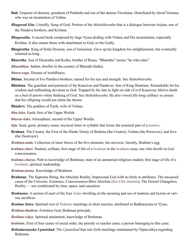- <span id="page-43-20"></span>**Bali**. Emperor of demons; grandson of [Prahlada](#page-49-11) and son of the demon Virochana. Humiliated by dwarf [Vamana](#page-54-18), who was an incarnation of [Vishnu](#page-54-11).
- <span id="page-43-12"></span>*Bhagavad Gita*. Literally, Song of God. Portion of the *[Mahabharatha](#page-47-14)* that is a dialogue between [Arjuna](#page-42-12), one of the [Pandava](#page-49-19) brothers, and [Krishna.](#page-47-17)
- *Bhagavatha*. A sacred book composed by Sage [Vyasa](#page-55-9) dealing with [Vishnu](#page-54-11) and His incarnations, especially [Krishna.](#page-47-17) It also means those with attachment to God, or the Godly.
- <span id="page-43-14"></span>**Bhagiratha**. King of Solar Dynasty, son of Amsuman. Gave up his kingdom for enlightenment, but eventually returned as king..
- <span id="page-43-16"></span>**Bharatha**. Son of [Dasaratha](#page-44-22) and [Kaika](#page-46-24); brother of [Rama](#page-50-7). "Bharatha" means "he who rules".
- *Bharathiya*. Indian, dweller in the country of Bharath (India).
- <span id="page-43-7"></span>*bhava-roga*. Disease of worldliness.
- <span id="page-43-18"></span>**Bhima**. Second of five [Pandava](#page-49-19) brothers; named for his size and strength. See *[Mahabharatha](#page-47-14)*.
- <span id="page-43-19"></span>**Bhishma**. The guardian and patriarch of the [Kauravas](#page-46-25) and [Pandavas](#page-49-19). Son of King [Shantanu.](#page-52-14) Remarkable for his wisdom and unflinching devotion to God. Trapped by his fate to fight on side of evil [Kauravas](#page-46-25); bled to death on a bed of arrows while thinking of God. See *[Mahabharatha](#page-47-14)*. He also vowed life-long celibacy to ensure that his offspring would not claim the throne.
- <span id="page-43-9"></span>**Bhudevi**. The goddess of Earth; wife of [Vishnu](#page-54-11).
- <span id="page-43-1"></span>*bhu-loka*. Earth; first of the Upper Worlds.
- <span id="page-43-2"></span>*bhuvar-loka*. Atmosphere; second of the Upper Worlds.
- <span id="page-43-13"></span>*bija*. Seed, germ, primary cause; mystical letter or syllable that forms the essential part of a *[mantra](#page-48-20)*.
- <span id="page-43-4"></span>**Brahma**. The Creator, the First of the Hindu Trinity of Brahma (the Creator), [Vishnu](#page-54-11) (the Preserver), and [Siva](#page-52-15)  (the Destroyer).
- <span id="page-43-3"></span>*Brahma-anda*. Collection of inner forces of the five elements; the universe; literally, Brahma's egg.
- *brahma-chari*. Student, celibate, first stage of life of a *[brahmin](#page-43-15)* in the *[brahmin](#page-43-15)* caste; one who dwells in God consciousness.
- <span id="page-43-5"></span>*brahma-charya*. Path to knowledge of [Brahman;](#page-43-0) state of an unmarried religious student; first stage of life of a *[brahmin](#page-43-15)*; spiritual studentship.
- <span id="page-43-11"></span>*Brahma-jnana*. Knowledge of [Brahman.](#page-43-0)
- <span id="page-43-0"></span>**Brahman**. The Supreme Being, the Absolute Reality, Impersonal God with no form or attributes. The uncaused cause of the Universe, Existence, Consciousness-Bliss Absolute (*[Sat-Chit-Ananda](#page-52-16)*); The Eternal Changeless Reality — not conditioned by time, space, and causation.
- <span id="page-43-17"></span>*Brahmana*. A section of each of the four *[Vedas](#page-54-12)* dwelling on the meaning and use of mantras and hymns at various sacrifices.
- <span id="page-43-21"></span>*Brahma Sutra*. Spiritual text of *[Vedantic](#page-54-2)* teachings in short maxims, attributed to Badharayana or [Vyasa.](#page-55-9)
- <span id="page-43-6"></span>*Brahma-thathwa*. Formless God, [Brahman](#page-43-0) principle.
- <span id="page-43-8"></span>*Brahma-vidya*. Spiritual attainment, knowledge of [Brahman](#page-43-0).
- <span id="page-43-15"></span>*brahmin*. First of four castes of social order, the priestly or teacher caste; a person belonging to this [caste.](#page-44-5)
- <span id="page-43-10"></span>*Brihadaranyaka Upanishad*. The *[Upanishad](#page-53-18)* that sets forth teachings maintained by [Yajnavalkya](#page-55-5) regarding [Brahman.](#page-43-0)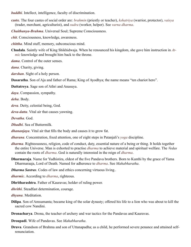<span id="page-44-0"></span>*buddhi*. Intellect, intelligence, faculty of discrimination.

- <span id="page-44-5"></span>**caste**. The four castes of social order are: *brahmin* (priestly or teacher), *[kshatriya](#page-47-19)* (warrior, protector), *vaisya* (trader, merchant, agriculturist), and *sudra* (worker, helper). See *[varna dharma](#page-44-5)*.
- <span id="page-44-3"></span>*Chaithanya-Brahma*. Universal Soul; Supreme Consciousness.
- <span id="page-44-12"></span>*chit*. Consciousness, knowledge, awareness.
- <span id="page-44-1"></span>*chittha*. Mind stuff, memory, subconscious mind.
- <span id="page-44-11"></span>**Chudala**. Saintly wife of King Shikhidwaja. When he renounced his kingdom, she gave him instruction in *[At](#page-42-7)[mic](#page-42-7)* knowledge and brought him back to the throne.
- <span id="page-44-10"></span>*dama*. Control of the outer senses.
- <span id="page-44-20"></span>*dana*. Charity, giving.
- *darshan*. Sight of a holy person.
- <span id="page-44-22"></span>**Dasaratha**. Son of Aja and father of [Rama;](#page-50-7) King of Ayodhya; the name means "ten chariot hero".
- <span id="page-44-21"></span>**Dattatreya**. Sage son of [Athri](#page-42-22) and [Anasuya](#page-42-23).
- <span id="page-44-18"></span>*daya*. Compassion, sympathy.
- <span id="page-44-2"></span>*deha*. Body.
- <span id="page-44-24"></span>*deva*. Deity, celestial being, God.
- <span id="page-44-8"></span>*deva-datta*. Vital air that causes yawning.
- <span id="page-44-14"></span>*Devatha*. God.
- *Dhadhi*. Sea of Buttermilk.
- <span id="page-44-9"></span>*dhananjaya*. Vital air that fills the body and causes it to grow fat.
- <span id="page-44-16"></span>*dharana*. Concentration, fixed attention, one of eight steps in [Patanjali'](#page-49-20)s *[yoga](#page-55-0)* discipline.
- <span id="page-44-4"></span>*dharma*. Righteousness, religion, code of conduct, duty, essential nature of a being or thing. It holds together the entire Universe. Man is exhorted to practise *dharma* to achieve material and spiritual welfare. The *[Vedas](#page-54-12)* contain the roots of *dharma*. God is naturally interested in the reign of *dharma*.
- **Dharmaraja**. Name for [Yudhistira,](#page-55-15) eldest of the five [Pandava](#page-49-19) brothers. Born to [Kunthi](#page-47-24) by the grace of [Yama](#page-55-16)  [Dharmaraaja,](#page-55-16) Lord of Death. Named for adherence to *[dharma](#page-44-4)*. See *[Mahabharatha](#page-47-14)*.
- <span id="page-44-25"></span>*Dharma Sastras*. Codes of law and ethics concerning virtuous living..
- <span id="page-44-15"></span>*dharmic*. According to *[dharma](#page-44-15)*, righteous.
- <span id="page-44-26"></span>**Dhritharashtra**. Father of [Kauravas;](#page-46-25) holder of ruling power.
- <span id="page-44-19"></span>*dhrithi*. Steadfast determination, courage.
- <span id="page-44-17"></span>*dhyana*. Meditation.
- <span id="page-44-13"></span>**Dilipa**. Son of Amsumanta; became king of the solar dynasty; offered his life to a lion who was about to kill the sacred cow Nandini.
- <span id="page-44-23"></span>**Dronacharya**. Drona, the teacher of archery and war tactics for the [Pandavas](#page-49-19) and [Kauravas.](#page-46-25)
- <span id="page-44-6"></span>**Droupadi**. Wife of [Pandavas.](#page-49-19) See *[Mahabharatha](#page-47-14)*.
- <span id="page-44-7"></span>**Druva**. Grandson of [Brahma](#page-43-4) and son of Uttanapadha; as a child, he performed severe penance and attained selfrenunciation.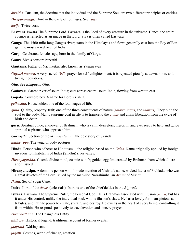*dwaitha*. Dualism, the doctrine that the individual and the Supreme Soul are two different principles or entities.

*Dwapara-yuga*. Third in the cycle of four ages. See *[yuga](#page-55-17)*.

<span id="page-45-4"></span>*dwija*. Twice born.

- **Easwara**. Iswara The Supreme Lord. Easwara is the Lord of every creature in the universe. Hence, the entire cosmos is reflected as an image in the Lord. [Siva](#page-52-15) is often called Easwara.
- <span id="page-45-11"></span>**Ganga**. The 1560-mile-long Ganges river; starts in the Himalayas and flows generally east into the Bay of Bengal; the most sacred river of India.
- <span id="page-45-8"></span>**Gargi**. Celebrated female sage, born in the family of Garga.
- <span id="page-45-9"></span>**Gauri**. [Siva](#page-52-15)'s consort [Parvathi](#page-49-14).
- <span id="page-45-12"></span>**Gautama**. Father of Nachiketas; also known as Yajnasravas
- <span id="page-45-17"></span>*Gayatri mantra*. A very sacred *[Vedic](#page-54-16)* prayer for self-enlightenment; it is repeated piously at dawn, noon, and twilight devotions.
- <span id="page-45-5"></span>*Gita*. See *Bhagavad Gita*.
- <span id="page-45-13"></span>**Godavari**. Sacred river of south India; cuts across central south India, flowing from west to east.
- **Gopala**. Cowherd boy. A name for Lord [Krishna](#page-47-17).
- <span id="page-45-2"></span>*grihastha*. Householder, one of the four stages of life.
- <span id="page-45-10"></span>*guna*. Quality, property, trait; one of the three constituents of nature (*[sathwa](#page-52-17)*, *[rajas](#page-50-15)*, and *[thamas](#page-53-20)*). They bind the soul to the body. Man's supreme goal in life is to transcend the *gunas* and attain liberation from the cycle of birth and death.
- **guru**. Spiritual guide; a knower of [Brahman](#page-43-0), who is calm, desireless, merciful, and ever ready to help and guide spiritual aspirants who approach him.
- <span id="page-45-6"></span>*Guru-gita*. Section of the *[Skanda Purana](#page-52-18)*, the epic story of [Skanda](#page-52-19).
- <span id="page-45-14"></span>*hatha-yoga*. The yoga of body postures.
- **Hindu**. Person who adheres to Hinduism —the religion based on the *[Vedas](#page-54-12)*. Name originally applied by foreign invaders to inhabitants of Indus (Sindhu) river valley.
- <span id="page-45-1"></span>*Hiranyagarbha*. Cosmic divine mind; cosmic womb; golden egg first created by [Brahman](#page-43-0) from which all creation issued.
- <span id="page-45-15"></span>**Hiranyakasipu**. A demonic person who forbade mention of [Vishnu'](#page-54-11)s name, wicked father of [Prahlada](#page-49-11), who was a great devotee of the Lord; killed by the man-lion Narashimha, an *[Avatar](#page-42-24)* of [Vishnu](#page-54-11).
- *Ikshu*. Sea of Sugar Cane.
- **Indra**. Lord of the *[devas](#page-44-24)* (celestials). Indra is one of the chief deities in the *[Rig veda](#page-54-12)*.
- <span id="page-45-7"></span>**Iswara**. Easwara. The Supreme Ruler, the Personal God. He is [Brahman](#page-43-0) associated with illusion (*[maya](#page-48-14)*) but has it under His control, unlike the individual soul, who is illusion's slave. He has a lovely form, auspicious attributes, and infinite power to create, sustain, and destroy. He dwells in the heart of every being, controlling it from within. He responds positively to true devotion and sincere prayer.
- <span id="page-45-3"></span>*Iswara-sthana*. The Changeless Entity.
- <span id="page-45-16"></span>*ithihasa*. Historical legend, traditional account of former events.
- <span id="page-45-0"></span>*jaagrath*. Waking state.
- *jagath*. Cosmos, world of change, creation.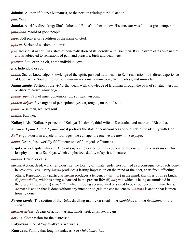<span id="page-46-23"></span>**Jaimini**. Author of Puurva Mimamsa, or the portion relating to ritual action.

<span id="page-46-1"></span>*jala*. Water.

<span id="page-46-19"></span>**Janaka**. A self-realized king; [Sita](#page-52-8)'s father and [Rama'](#page-50-7)s father-in-law. His ancestor was Nimi, a great emperor.

<span id="page-46-6"></span>*jana-loka*. World of good people..

<span id="page-46-20"></span>*japa*. Soft prayer or repetition of the name of God.

<span id="page-46-13"></span>*jijnasu*. Seeker of wisdom, inquirer.

<span id="page-46-11"></span>*jiva*. Individual or soul, in a state of non-realisation of its identity with [Brahman](#page-43-0). It is unaware of its own nature and is subjected to sensations of pain and pleasure, birth and death, etc.

<span id="page-46-7"></span>*jivatma*. Soul or true Self, at the individual level.

<span id="page-46-9"></span>*jivi*. Individual or soul.

<span id="page-46-14"></span>*jnana*. Sacred knowledge; knowledge of the spirit, pursued as a means to Self-realisation. It is direct experience of God, as the Soul of the souls. *Jnana* makes a man omniscient, free, fearless, and immortal.

<span id="page-46-16"></span>*Jnana-kanda*. Portion of the *[Vedas](#page-54-12)* that deals with knowledge of [Brahman](#page-43-0) through the path of spiritual wisdom or discriminative knowledge.

<span id="page-46-18"></span>*jnana-yoga*. Path of inner contemplation, spiritual wisdom.

<span id="page-46-3"></span>*jnanen-driyas*. Five organs of perception: eye, ear, tongue, nose, and skin.

<span id="page-46-10"></span>*jnani*. Wise man, realized soul.

<span id="page-46-2"></span>*jnatha*. Knower.

<span id="page-46-24"></span>**Kaikeyi**. Also **Kaika**. A princess of Kekaya (Kashmir), third wife of [Dasaratha,](#page-44-22) and mother of [Bharatha.](#page-43-16)

<span id="page-46-21"></span>*Kaivalya Upanishad*. A *[Upanishad](#page-53-18)*; it portrays the state of consciousness of one's absolute identity with God.

*Kali-yuga*. Fourth in a cycle of four ages; the evil age; the one we are now in. See *[yuga](#page-55-17)*.

<span id="page-46-8"></span>*kama*. Desire, lust, worldly fulfillment; one of four goals of humans.

<span id="page-46-22"></span>**Kapila**. Also Kapilamaharshi. Ancient sage-philosopher; prime exponent of the one of the six systems of philosophy known as Sankhya, which emphasizes duality of spirit and nature.

<span id="page-46-5"></span>*karana*. Causal or cause.

<span id="page-46-0"></span>*karma*. Action, deed, work, religious rite, the totality of innate tendencies formed as a consequence of acts done in previous lives. Every *karma* produces a lasting impression on the mind of the doer, apart from affecting others. Repetition of a particular *karma* produces a tendency (*[vasanas](#page-54-3)*) in the mind. *Karma* is of three kinds: (i) *praarabdha*, which is being exhausted in the present life: (ii) *aagami*, which is being accumulated in the present life, and (iii) *samchitha*, which is being accumulated or stored to be experienced in future lives. *Akarma* is action that is done without any intention to gain the consequences; *vikarma* is action that is intentionally done.

- <span id="page-46-15"></span>*Karma-kanda*. The section of the *[Vedas](#page-54-12)* dwelling mainly on rituals; the *[samhithas](#page-51-17)* and the *[Brahmana](#page-43-17)* of the *[Vedas](#page-54-12)*.
- <span id="page-46-4"></span>*karmen-driyas*. Organs of action: larynx, hands, feet, anus, sex organs.

<span id="page-46-17"></span><span id="page-46-12"></span>*karuna*. Compassion for the distressed.

**Katyayani.** One of [Yajnavalkya](#page-55-5)'s two wives.

<span id="page-46-25"></span>**Kauravas**. Family that fought [Pandavas.](#page-49-19) See *[Mahabharatha](#page-47-14)*..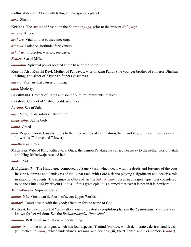<span id="page-47-25"></span>**Kethu**. A demon. Along with [Rahu](#page-50-16), an inauspicious planet.

<span id="page-47-9"></span>*kosa*. Sheath.

<span id="page-47-17"></span>**Krishna**. The *[Avatar](#page-42-24)* of [Vishnu](#page-54-11) in the *[Dwapara yuga](#page-55-17)*, prior to the present *[Kali yuga](#page-55-17)*.

<span id="page-47-4"></span>*krodha*. Anger.

<span id="page-47-11"></span>*krukara*. Vital air that causes sneezing.

<span id="page-47-22"></span>*kshama*. Patience, fortitude, forgiveness.

<span id="page-47-19"></span>*kshatriya*. Protector, warrior; see c[aste](#page-44-5).

*Kshira*. Sea of Milk.

<span id="page-47-20"></span>*kundalini*. Spiritual power located at the base of the spine.

<span id="page-47-24"></span>**Kunthi**. Also **Kunthi Devi**. Mother of [Pandavas](#page-49-19), wife of King Pandu (the younger brother of emperor Dhritharashtra), and sister of [Krishna](#page-47-17)'s father [\(Vasudeva](#page-54-19)).

<span id="page-47-10"></span>*kurma*. Vital air that causes blinking.

<span id="page-47-23"></span>*lajja*. Modesty.

<span id="page-47-26"></span>**Lakshmana**. Brother of [Rama](#page-50-7) and son of [Sumitra](#page-52-20); represents intellect.

<span id="page-47-16"></span>**Lakshmi**. Consort of [Vishnu](#page-54-11), goddess of wealth.

*Lavana*. Sea of Salt.

<span id="page-47-21"></span>*laya*. Merging, dissolution, absorption.

<span id="page-47-12"></span>*linga-deha*. Subtle body.

<span id="page-47-5"></span>*lobha*. Greed.

<span id="page-47-2"></span>*loka*. Region, world. Usually refers to the three worlds of earth, atmosphere, and sky, but it can mean 7 or even 14 worlds (7 above and 7 lower).

#### <span id="page-47-7"></span>*maathsarya*. Envy.

<span id="page-47-15"></span>**Madalasa**. Wife of King Rithadwaja. Once, the demon Patalakethu carried her away to the nether world; Patala and King Rithadwaja rescued her.

#### <span id="page-47-6"></span>*mada*. Pride.

<span id="page-47-14"></span>*Mahabharatha*. The Hindu epic composed by Sage [Vyasa,](#page-55-9) which deals with the deeds and fortunes of the cousins (the [Kauravas](#page-46-25) and [Pandavas\)](#page-49-19) of the Lunar race, with Lord [Krishna](#page-47-17) playing a significant and decisive role in shaping the events. The *[Bhagavad Gita](#page-43-12)* and *Vishnu [Sahasranama](#page-51-18)* occur in this great epic. It is considered to be the Fifth *[Veda](#page-54-12)* by devout Hindus. Of this great epic, it is claimed that "what is not in it is nowhere.

<span id="page-47-1"></span>*Maha-Karana*. Supreme Cause.

<span id="page-47-3"></span>*mahar-loka*. Great world; fourth of seven Upper Worlds.

<span id="page-47-8"></span>*maithri*. Comradeship with the good; affection for the name of God.

<span id="page-47-13"></span>**Maitreyi**. Female consort of [Yajnavalkya](#page-55-5); one of greatest sage-philosophers in the *[Upanishads](#page-53-18)*. Maitreyi was known for her wisdom. See the *[Brihadaranyaka Upanishad](#page-43-10)*.

<span id="page-47-18"></span>*manana*. Reflection, meditation, understanding.

<span id="page-47-0"></span>*manas*. Mind, the inner organ, which has four aspects: (i) mind (*manas*), which deliberates, desires, and feels; (ii) intellect (*[buddhi](#page-44-0)*), which understands, reasons, and decides; (iii) the 'I' sense, and (iv) memory (*[chitha](#page-44-1)*).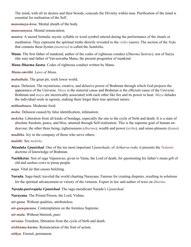The mind, with all its desires and their broods, conceals the Divinity within man. Purification of the mind is essential for realisation of the Self.

<span id="page-48-4"></span>*manomaya-kosa*. Mental sheath of the body.

<span id="page-48-11"></span>*manosanyasa*. Mental renunciation.

- <span id="page-48-20"></span>*mantra*. A sacred formula, mystic syllable or word symbol uttered during the performance of the rituals or meditation. They represent the spiritual truths directly revealed to the *[rishis](#page-50-17)* (seers). The section of the *[Veda](#page-54-12)* that contains these hymns (*mantras*) is called the *[Samhitha](#page-51-17)*.
- <span id="page-48-21"></span>**Manu**. The first father of mankind; author of the codes of righteous conduct (*[Dharma Sastras](#page-44-25)*); son of [Surya](#page-53-22)  (the sun) and father of Vaivaswatha Manu, the present progenitor of mankind.
- <span id="page-48-8"></span>*Manu Dharma Sastra*. Codes of righteous conduct written by [Manu](#page-48-21).

<span id="page-48-10"></span>*Manu-smrithi*. *Laws of [Manu](#page-48-21)*.

<span id="page-48-0"></span>*mahathala*. The great pit; sixth lower world.

<span id="page-48-14"></span>*maya*. Delusion. The mysterious, creative, and delusive power of [Brahman](#page-43-0) through which God projects the appearance of the Universe. *Maya* is the material cause and [Brahman](#page-43-0) is the efficient cause of the Universe. [Brahman](#page-43-0) and *maya* are inextricably associated with each other like fire and its power to heat. *Maya* deludes the individual souls in egoism, making them forget their true spiritual nature.

<span id="page-48-19"></span>*mithaahaara*. Moderate food.

- <span id="page-48-2"></span>*moha*. Delusion caused by false identification, infatuation.
- <span id="page-48-1"></span>*moksha*. Liberation from all kinds of bondage, especially the one to the cycle of birth and death. It is a state of absolute freedom, peace, and bliss, attained through Self-realisation. This is the supreme goal of human endeavour, the other three being, righteousness (*[dharma](#page-44-4)*), wealth and power (*[artha](#page-42-6)*), and sense-pleasure (*[kama](#page-46-8)*).

<span id="page-48-3"></span>*muditha*. Joy in the company of those who serve others.

#### <span id="page-48-18"></span>*mukthi*. See *[moksha](#page-48-1)*.

- <span id="page-48-15"></span>*Mundaka Upanishad*. One of the ten most important *[Upanishads](#page-53-18)*, of *[Artharva-veda](#page-42-25)*; it presents the *[Vedantic](#page-54-2)* doctrine of knowledge of [Brahman.](#page-43-0)
- **Nachiketas**. Son of sage Vajasravas; given to [Yama](#page-55-16), the Lord of death, for questioning his father's mean gift of old and useless cows to pious people.

<span id="page-48-5"></span>*naga*. Vital air that causes belching.

<span id="page-48-17"></span>**Narada**. Sage-bard; traveled the world chanting [Narayana](#page-48-6). Famous for creating disputes, resulting in solutions for the spiritual advancement or victory of the virtuous. Expert in law and author of texts on *[dharma](#page-44-4)*.

<span id="page-48-7"></span>*Narada-parivrajaka Upanishad*. The sage-mendicant [Narada](#page-48-17)'s *[Upanishad](#page-53-18)*.

<span id="page-48-6"></span>**Narayana**. The Primal Person, the Lord, [Vishnu](#page-54-11).

*nir-guna*. Without qualities, attributeless.

*nir-gunopasana*. Contemplation on the formless Supreme.

<span id="page-48-13"></span>*nir-mala*. Without blemish, pure.

<span id="page-48-16"></span>*nirvana*. Freedom, liberation from the cycle of birth and death.

<span id="page-48-9"></span>*nishkama-karma*. Renunciation of the fruit of action.

<span id="page-48-12"></span>*nithya*. Eternal, permanent.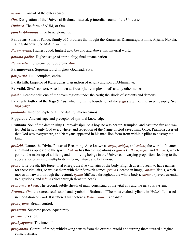<span id="page-49-15"></span>*niyama*. Control of the outer senses.

- <span id="page-49-3"></span>*Om*. Designation of the Universal [Brahman](#page-43-0); sacred, primordial sound of the Universe.
- *Omkara*. The form of [AUM,](#page-42-26) or Om.
- <span id="page-49-0"></span>*pancha-bhuuthas*. Five basic elements.
- <span id="page-49-19"></span>**Pandavas**. Sons of Pandu; family of 5 brothers that fought the [Kauravas:](#page-46-25) [Dharmaraja,](#page-55-15) [Bhima,](#page-43-18) [Arjuna,](#page-42-12) Nakula, and Sahadeva. See *[Mahabharatha](#page-47-14)*.
- <span id="page-49-8"></span>*Param-artha*. Highest good; highest goal beyond and above this material world.
- <span id="page-49-9"></span>*parama-padha*. Highest stage of spirituality; final emancipation.
- <span id="page-49-7"></span>*Param-atma*. Supreme Self, Supreme *[Atma](#page-42-5)*.
- <span id="page-49-13"></span>**Parameswara**. Supreme Lord, highest Godhead, [Siva.](#page-52-15)
- <span id="page-49-10"></span>*paripurna*. Full, complete, entire.
- <span id="page-49-18"></span>**Parikshith**. Emperor of Kuru dynasty; grandson of [Arjuna](#page-42-12) and son of [Abhimanyu.](#page-41-18)
- <span id="page-49-14"></span>**Parvathi**. [Siva'](#page-52-15)s consort. Also known as Gauri (fair complexioned) and by other names.
- <span id="page-49-2"></span>*patala*. Deepest hell; one of the seven regions under the earth; the abode of serpents and demons.
- <span id="page-49-20"></span>**Patanjali**. Author of the *[Yoga Sutras](#page-55-18)*, which form the foundation of the *[yoga](#page-55-0)* system of Indian philosophy. See *[raja-yoga](#page-50-13)*.
- <span id="page-49-5"></span>*pindanda*. Inner principle of all the duality; microcosmos.
- <span id="page-49-22"></span>**Pippalada**. Ancient sage and preceptor of spiritual knowledge.
- <span id="page-49-11"></span>**Prahlada**. Son of the demon king [Hiranyakasipu.](#page-45-15) As a boy, he was beaten, trampled, and cast into fire and water. But he saw only God everywhere, and repetition of the Name of God saved him. Once, [Prahlada](#page-49-11) asserted that God was everywhere, and [Narayana](#page-48-6) appeared in his man-lion form from within a pillar to destroy the king.
- <span id="page-49-21"></span>*prakriti*. Nature, the Divine Power of Becoming. Also known as *[maya](#page-48-14)*, *avidya*, and *[sakthi](#page-51-14)*; the world of matter and mind as opposed to the spirit. *Prakriti* has three dispositions or *[gunas](#page-45-10)* (*[sathwa](#page-52-17)*, *[rajas](#page-50-15)*, and *[thamas](#page-53-20)*), which go into the make-up of all living and non-living beings in the Universe, in varying proportions leading to the appearance of infinite multiplicity in form, nature, and behaviour.
- <span id="page-49-1"></span>*prana*. Life-breath, life force, vital energy, the five vital airs of the body. English doesn't seem to have names for these vital airs, so we list them with their Sanskrit names: *prana* (located in lungs), *apana* (flatus, which moves downward through the rectum), *[vyana](#page-55-2)* (diffused throughout the whole body), *[samana](#page-51-2)* (navel; essential to digestion), and *[udana](#page-53-0)* (rises through throat to head).
- <span id="page-49-12"></span>*prana-maya kosa*. The second, subtle sheath of man, consisting of the vital airs and the nervous system.
- <span id="page-49-4"></span>*Pranava*. *Om*; the sacred seed-sound and symbol of [Brahman.](#page-43-0) "The most exalted syllable in *[Vedas](#page-54-12)*". It is used in meditation on God. It is uttered first before a *[Vedic](#page-54-16) mantra* is chanted.
- <span id="page-49-16"></span>*pranayama*. Breath control.
- *prasanthi*. Supreme peace, equanimity.
- *prasna*. Question.
- <span id="page-49-6"></span>*prathyagatma*. The inner "I".
- <span id="page-49-17"></span>*pratyahara*. Control of mind; withdrawing senses from the external world and turning them toward a higher consciousness.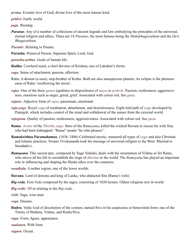<span id="page-50-3"></span>*prema*. Ecstatic love of God; divine love of the most intense kind.

<span id="page-50-0"></span>*prithvi*. Earth, world.

<span id="page-50-14"></span>*puja*. Worship.

- <span id="page-50-6"></span>*Puranas*. Any of a number of collections of ancient legends and lore embodying the principles of the universal, eternal religion and ethics. There are 18 *Puranas*, the most famous being the *Mahabhagavatham* and the *Devi Bhagavatham*.
- *Puranic*. Relating to [Purana](#page-50-6).

<span id="page-50-1"></span>**Purusha**. Primeval Person, Supreme Spirit, Lord, God.

<span id="page-50-4"></span>*purusha-arthas*. Goals of human life.

<span id="page-50-5"></span>**Radha**. Cowherd maid, a chief devotee of [Krishna;](#page-47-17) one of [Lakshmi](#page-47-16)'s forms.

<span id="page-50-8"></span>*raga*. Sense of attachment, passion, affection.

<span id="page-50-16"></span>Rahu. A demon [\(a-sura\)](#page-42-27), step-brother of [Kethu.](#page-47-25) Both are also inauspicious planets; An eclipse is the phenomenon of Rahu 'swallowing the moon'..

<span id="page-50-15"></span>*rajas*. One of the three *[gunas](#page-45-10)* (qualities or dispositions) of *[maya](#page-48-14)* or *[prakriti](#page-49-21)*. Passion, restlessness, aggressiveness, emotions such as anger, greed, grief. Associated with colour red. See *[guna](#page-45-10)*.

- <span id="page-50-10"></span>*rajasic*. Adjective form of *[rajas](#page-50-15)*, passionate, emotional.
- <span id="page-50-13"></span>*raja-yoga*. Royal *[yoga](#page-55-0)* of meditation, detachment, and desirelessness. Eight-fold path of *[yoga](#page-55-0)* developed by [Patanjali,](#page-49-20) which includes control of the mind and withdrawal of the senses from the external world.
- *rajoguna*. Quality of passion, restlessness, aggressiveness. Associated with colour red. See *[guna](#page-45-10).*
- <span id="page-50-7"></span>**Rama**. *[Avatar](#page-42-24)* of the *[Thretha yuga](#page-55-17)*. Hero of the *[Ramayana](#page-50-11)*; killed the wicked [Ravana](#page-50-18) to rescue his wife [Sita](#page-52-8), who had been kidnapped. "Rama" means "he who pleases".
- <span id="page-50-20"></span>**Ramakrishna Paramahamsa**. (1836–1886) Celebrated mystic; mastered all types of *[yoga](#page-55-0)* and also Christian and Islamic practices. Swami [Vivekananda](#page-55-19) took his message of universal religion to the West. Married to Saradadevi.
- <span id="page-50-11"></span>*Ramayana*. This sacred epic, composed by Sage [Valmiki,](#page-54-14) deals with the incarnation of [Vishnu](#page-54-11) as Sri [Rama](#page-50-7), who strove all his life to reestablish the reign of *[dharma](#page-44-4)* in the world. The *Ramayana* has played an important role in influencing and shaping the Hindu ethos over the centuries.
- <span id="page-50-2"></span>*rasathala*. A nether region; one of the lower worlds.

<span id="page-50-18"></span>**Ravana**. Lord of demons and king of Lanka, who abducted [Sita](#page-52-8) [\(Rama](#page-50-7)'s wife).

<span id="page-50-19"></span>*Rig-veda*. First *[Veda](#page-54-12)* composed by the sages, consisting of 1028 hymns. Oldest religious text in world.

*Rig-vedic*. Of or relating to the *[Rig-veda](#page-50-19)*.

<span id="page-50-17"></span>*rishi*. Sage, wise man.

<span id="page-50-9"></span>*roga*. Disease.

<span id="page-50-12"></span>**Rudra**. [Vedic](#page-54-16) God of dissolution of the cosmos; named [Siva](#page-52-15) in his auspicious or benevolent form; one of the Trinity of [Brahma,](#page-43-4) [Vishnu,](#page-54-11) and Rudra/[Siva.](#page-52-15)

*rupa*. Form, figure, appearance.

*saakaara*. With form.

*sagara*. Ocean.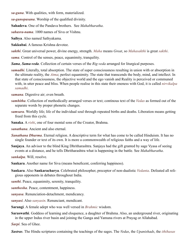*sa-guna*. With qualities, with form, materialized.

*sa-gunopasana*. Worship of the qualified divinity.

**Sahadeva**. One of the [Pandava](#page-49-19) brothers. See *[Mahabharatha](#page-47-14)*.

<span id="page-51-18"></span>*sahasra-nama*. 1000 names of [Siva](#page-52-15) or [Vishnu](#page-54-11).

<span id="page-51-19"></span>**Saibya**. Also named Sathyakama.

<span id="page-51-6"></span>**Sakkubai**. A famous Krishna devotee.

<span id="page-51-14"></span>*sakthi*. Great universal power, divine energy, strength. *Maha* means *Great*, so *Mahasakthi* is great *sakthi*.

<span id="page-51-9"></span>*sama*. Control of the senses, peace, equanimity, tranquility.

*Sama*, *Sama-veda*. Collection of certain verses of the *[Rig-veda](#page-50-19)* arranged for liturgical purposes.

<span id="page-51-15"></span>*samadhi*. Literally, total absorption. The state of super consciousness resulting in union with or absorption in the ultimate reality, the *[Atma](#page-42-5)*; perfect equanimity. The state that transcends the body, mind, and intellect. In that state of consciousness, the objective world and the ego vanish and Reality is perceived or communed with, in utter peace and bliss. When people realise in this state their oneness with God, it is called *nirvikalpa samadhi*.

<span id="page-51-2"></span>*samana*. Digestive air; even breath.

- <span id="page-51-17"></span>*samhitha*. Collection of methodically arranged verses or text; continous text of the *[Vedas](#page-54-12)* as formed out of the separate words by proper phonetic changes.
- <span id="page-51-8"></span>*samsara*. Worldly life; life of the individual soul through repeated births and deaths. Liberation means getting freed from this cycle.
- <span id="page-51-7"></span>**Sanaka**. A *[rishi](#page-50-17)*, one of four mental sons of the Creator, [Brahma.](#page-43-4)

*sanathana*. Ancient and also eternal.

- <span id="page-51-0"></span>*Sanathana Dharma*. Eternal religion. A descriptive term for what has come to be called Hinduism. It has no single founder or text of its own. It is more a commonwealth of religious faiths and a way of life.
- <span id="page-51-13"></span>**Sanjaya**. An advisor to the blind King [Dhritharashtra.](#page-44-26) Sanjaya had the gift granted by sage Vyasa of seeing events at a distance, and he tells [Dhritharashtra](#page-44-26) what is happening in the battle. See *[Mahabharatha](#page-47-14)*.

*sankalpa*. Will, resolve.

- **Sankara**. Another name for [Siva](#page-52-15) (means beneficent, conferring happiness).
- <span id="page-51-12"></span>**Sankara**. Also **Sankaracharya**. Celebrated philosopher, preceptor of non-dualistic *[Vedanta](#page-54-10)*. Defeated all religious opponents in debates throughout India.
- <span id="page-51-5"></span>*santhi*. Peace, equanimity, serenity, tranquility.
- <span id="page-51-16"></span>*santhosha*. Peace, contentment, happiness.
- <span id="page-51-1"></span>*sanyasa*. Renunciation-detachment, mendicancy.
- <span id="page-51-4"></span>*sanyasi*. Also *sanyasin*. Renunciant, mendicant.
- <span id="page-51-10"></span>**Sarangi**. A female adept who was well versed in *[Brahmic](#page-43-4)* wisdom.
- <span id="page-51-11"></span>**Saraswathi**. Goddess of learning and eloquence, a daughter of [Brahma](#page-43-4). Also, an underground river, originating in the upper Indus river basin and joining the Ganga and Yamuna rivers at Prayag or Allahabad.

*Sarpi*. Sea of Ghee.

<span id="page-51-3"></span>*Sastras*. The Hindu scriptures containing the teachings of the sages. The *[Vedas](#page-54-12)*, the *[Upanishads](#page-53-18)*, the *[ithihasas](#page-45-16)*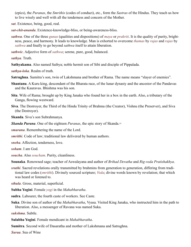(epics), the *[Puranas](#page-50-6)*, the *Smrithis* (codes of conduct), etc., form the *Sastras* of the Hindus. They teach us how to live wisely and well with all the tenderness and concern of the Mother.

<span id="page-52-4"></span>*sat*. Existence, being, good, real.

<span id="page-52-16"></span>*sat-chit-ananda*. Existence-knowledge-bliss, or being-awareness-bliss.

<span id="page-52-17"></span>*sathwa*. One of the three *[gunas](#page-45-10)* (qualities and dispositions) of *[maya](#page-48-14)* or *prakriti*. It is the quality of purity, brightness, peace, and harmony. It leads to knowledge. Man is exhorted to overcome *[thamas](#page-53-20)* by *[rajas](#page-50-15)* and *rajas* by *sathwa* and finally to go beyond *sathwa* itself to attain liberation.

<span id="page-52-10"></span>*sathwic*. Adjective form of *sathwa*; serene, pure, good, balanced.

<span id="page-52-3"></span>*sathya*. Truth.

<span id="page-52-12"></span>**Sathyakama**. Also named [Saibya;](#page-51-19) noble hermit son of Sibi and disciple of [Pippalada.](#page-49-22)

<span id="page-52-2"></span>*sathya-loka*. Realm of truth.

<span id="page-52-21"></span>**Satrughna**. [Sumitra](#page-52-20)'s son, twin of [Lakshmana](#page-47-26) and brother of [Rama](#page-50-7). The name means "slayer of enemies".

<span id="page-52-14"></span>**Shantanu**. A Kuru king, descendant of the Bharata race, of the lunar dynasty and the ancestor of the [Pandavas](#page-49-19)  and the [Kauravas](#page-46-25). [Bhishma](#page-43-19) was his son.

<span id="page-52-8"></span>**Sita**. Wife of [Rama](#page-50-7); brought up by King [Janaka](#page-46-19) who found her in a box in the earth. Also, a tributary of the Ganga, flowing westward.

<span id="page-52-15"></span>**Siva**. The Destroyer, the Third of the Hindu Trinity of Brahma (the Creator), [Vishnu](#page-54-11) (the Preserver), and Siva (the Destroyer).

<span id="page-52-19"></span>**Skanda**. [Siva](#page-52-15)'s son Subrahmanya.

<span id="page-52-18"></span>*Skanda Purana*. One of the eighteen *[Puranas](#page-50-6)*, the epic story of [Skanda.](#page-52-19)=

*smarana*. Remembering the name of the Lord.

*smrithi*. Code of law; traditional law delivered by human authors.

*sneha*. Affection, tenderness, love.

*soham*. I am God.

<span id="page-52-13"></span>*soucha*. Also *soucham*. Purity, cleanliness.

<span id="page-52-11"></span>**Sounaka**. Renowned sage; teacher of Aswalayana and author of *Brihad Devatha* and *Rig-veda Pratishakhya*.

<span id="page-52-9"></span>*sruthi*. Sacred revelations orally transmitted by [brahmins](#page-43-15) from generation to generation, differing from traditional law codes (*smrithi*). Divinely sourced scripture; *[Veda](#page-54-13)*; divine words known by revelation; that which was heard or listened to.

<span id="page-52-0"></span>*sthula*. Gross, material, superficial.

<span id="page-52-6"></span>**Subha Yogini**. Female *[yogi](#page-55-13)* in the *[Mahabharatha](#page-47-14)*.

**sudra**. Labourer, the fourth caste of workers. See [Caste](#page-44-5).

<span id="page-52-5"></span>**Suka**. Divine son of author of the *[Mahabharatha](#page-47-14)*, [Vyasa](#page-55-9). Visited King [Janaka](#page-46-19), who instructed him in the path to liberation. Also, a messenger of [Ravana](#page-50-18) was named Suka.

<span id="page-52-1"></span>*sukshma*. Subtle.

<span id="page-52-7"></span>**Sulabha Yogini**. Female mendicant in *[Mahabharatha](#page-47-14)*.

<span id="page-52-20"></span>**Sumitra**. Second wife of [Dasaratha](#page-44-22) and mother of [Lakshmana](#page-47-26) and [Satrughna](#page-52-21).

*Suraa*. Sea of Wine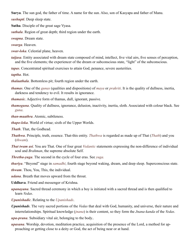<span id="page-53-22"></span>**Surya**. The sun god, the father of time. A name for the sun. Also, son of Kasyapa and father of [Manu.](#page-48-21)

<span id="page-53-4"></span>*sushupti*. Deep sleep state.

<span id="page-53-21"></span>**Sutha**. Disciple of the great sage [Vyasa](#page-55-9).

<span id="page-53-8"></span>*suthala*. Region of great depth; third region under the earth.

<span id="page-53-3"></span>*swapna*. Dream state.

<span id="page-53-12"></span>*swarga*. Heaven.

<span id="page-53-6"></span>*swar-loka*. Celestial plane, heaven.

- <span id="page-53-2"></span>*taijasa*. Entity associated with dream state composed of mind, intellect, five vital airs, five senses of perception, and the five elements; the experiencer of the dream or subconscious state, "light" of the subconscious.
- <span id="page-53-16"></span>*tapas*. Concentrated spiritual exercises to attain God, penance, severe austerities.

<span id="page-53-17"></span>*taptha*. Hot.

- <span id="page-53-9"></span>*thalaathala*. Bottomless pit; fourth region under the earth.
- <span id="page-53-20"></span>*thamas*. One of the *[gunas](#page-45-10)* (qualities and dispositions) of *[maya](#page-48-14)* or *[prakriti](#page-49-21)*. It is the quality of dullness, inertia, darkness and tendency to evil. It results in ignorance.
- <span id="page-53-19"></span>*thamasic*. Adjective form of thamas, dull, ignorant, passive.
- *thamoguna*. Quality of dullness, ignorance, delusion, inactivity, inertia, sloth. Associated with colour black. See *[guna](#page-45-10)*.
- <span id="page-53-1"></span>*than-maathra*. Atomic, subtleness.
- <span id="page-53-7"></span>*thapo-loka*. World of virtue; sixth of the Upper Worlds.
- <span id="page-53-14"></span>*Thath*. That, the Godhead.
- <span id="page-53-5"></span>*Thathwa*. Principle, truth, essence. That-this entity. *Thathwa* is regarded as made up of That (*[Thath](#page-53-14)*) and you (*thwam*).
- *That twam asi*. You are That. One of four great *[Vedantic](#page-54-2)* statements expressing the non-difference of individual soul and *[Brahman](#page-43-0)*, the supreme absolute Self.
- *Thretha-yuga*. The second in the cycle of four eras. See *[yuga](#page-55-17).*
- <span id="page-53-11"></span>*thuriya*. "Beyond" stage in *[samadhi](#page-51-15)*; fourth stage beyond waking, dream, and deep sleep. Superconscious state.
- <span id="page-53-15"></span>*thwam*. Thou, You, This, the individual.
- <span id="page-53-0"></span>*udana*. Breath that moves upward from the throat.
- <span id="page-53-13"></span>**Uddhava**. Friend and messenger of [Krishna.](#page-47-17)
- <span id="page-53-10"></span>*upanayana*. Sacred thread ceremony in which a boy is initiated with a sacred thread and is then qualified to learn *[Vedas](#page-54-12)*.
- *Upanishadic*. Relating to the *[Upanishads](#page-53-18)*.
- <span id="page-53-18"></span>*Upanishads*. The very sacred portions of the *[Vedas](#page-54-12)* that deal with God, humanity, and universe, their nature and interrelationships. Spiritual knowledge (*[jnana](#page-46-14)*) is their content, so they form the *[Jnana-kanda](#page-46-16)* of the *[Vedas](#page-54-12)*.
- *upa-prana*. Subsidiary vital air, belonging to the body..
- *upasana*. Worship, devotion, meditation practice, acquisition of the presence of the Lord, a method for approaching or getting close to a deity or God, the act of being near or at hand.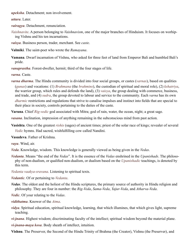<span id="page-54-6"></span>*upeksha*. Detachment; non involvement.

*uttara*. Later.

*vairagya*. Detachment, renunciation.

*Vaishnavite*. A person belonging to *Vaishnavism*, one of the major branches of Hinduism. It focuses on worhiping [Vishnu](#page-54-11) and his ten incarnations.

*vaisya*. Business person, trader, merchant. See *[caste](#page-44-5)*.

<span id="page-54-14"></span>**Valmiki**. The saint-poet who wrote the *[Ramayana](#page-50-11)*.

<span id="page-54-18"></span>**Vamana**. Dwarf incarnation of [Vishnu,](#page-54-11) who asked for three feet of land from Emperor [Bali](#page-43-20) and humbled [Bali'](#page-43-20)s pride.

<span id="page-54-4"></span>*vanaprastha*. Forest-dweller, hermit; third of the four stages of life.

<span id="page-54-0"></span>*varna*. [Caste](#page-44-5).

*varna dharma*. The Hindu community is divided into four social groups, or [castes](#page-44-5) (*varnas*), based on qualities (*[gunas](#page-45-10)*) and vocations: (1) *Brahmana* (the *[brahmin](#page-43-15)s*), the custodian of spiritual and moral role), (2) *kshatriya*, the warrior group, which rules and defends the land), (3) *vaisya*, the group dealing with commerce, business, and trade, and (4) *sudra*, the group devoted to labour and service to the community. Each *varna* has its own *[dharmic](#page-44-15)* restrictions and regulations that strive to canalise impulses and instinct into fields that are special to their place in society, controls pertaining to the duties of the caste.

<span id="page-54-17"></span>**Varuna**. Chief *Rig-vedic* god associated with Mitra; god of rain, water, the ocean, night; a great sage.

<span id="page-54-3"></span>*vasana*. Inclination, impression of anything remaining in the subconscious mind from past action.

<span id="page-54-20"></span>**Vasishta**. One of the greatest *[rishis](#page-50-17)* (sages) of ancient times; priest of the solar race of kings; revealer of several *[Vedic](#page-54-16)* hymns. Had sacred, wishfulfilling cow called Nandini.

<span id="page-54-19"></span>**Vasudeva**. Father of [Krishna.](#page-47-17)

<span id="page-54-1"></span>*vayu*. Wind, air.

<span id="page-54-13"></span>*Veda*. Knowledge, wisdom. This knowledge is generally viewed as being given in the *Vedas*.

<span id="page-54-10"></span>*Vedanta*. Means "the end of the *Vedas*". It is the essence of the *Vedas* enshrined in the *[Upanishads](#page-53-18)*. The philosophy of non-dualism, or qualified non-dualism, or dualism based on the *[Upanishadic](#page-53-18)* teachings, is denoted by this term.

<span id="page-54-15"></span>*Vedanta vaakya-sravana*. Listening to spiritual texts.

<span id="page-54-2"></span>*Vedantic*. Of or pertaining to *[Vedanta](#page-54-10)*.

<span id="page-54-12"></span>*Vedas*. The oldest and the holiest of the Hindu scriptures, the primary source of authority in Hindu religion and philosophy. They are four in number: the *[Rig-Veda](#page-50-19)*, *Sama-Veda*, *Yajur-Veda*, and *Atharva-Veda*.

<span id="page-54-16"></span>*Vedic*. Of your relating to the *Vedas*.

<span id="page-54-7"></span>*vidithatma*. Knower of the *[Atma](#page-42-5)*.

<span id="page-54-5"></span>*vidya*. Spiritual education, spiritual knowledge, learning, that which illumines, that which gives light, supreme teaching.

<span id="page-54-9"></span>*vi-jnana*. Highest wisdom; discriminating faculty of the intellect; spiritual wisdom beyond the material plane.

<span id="page-54-8"></span>*vi-jnana-maya kosa*. Body sheath of intellect, intuition.

<span id="page-54-11"></span>**Vishnu**. The Preserver, the Second of the Hindu Trinity of Brahma (the Creator), Vishnu (the Preserver), and